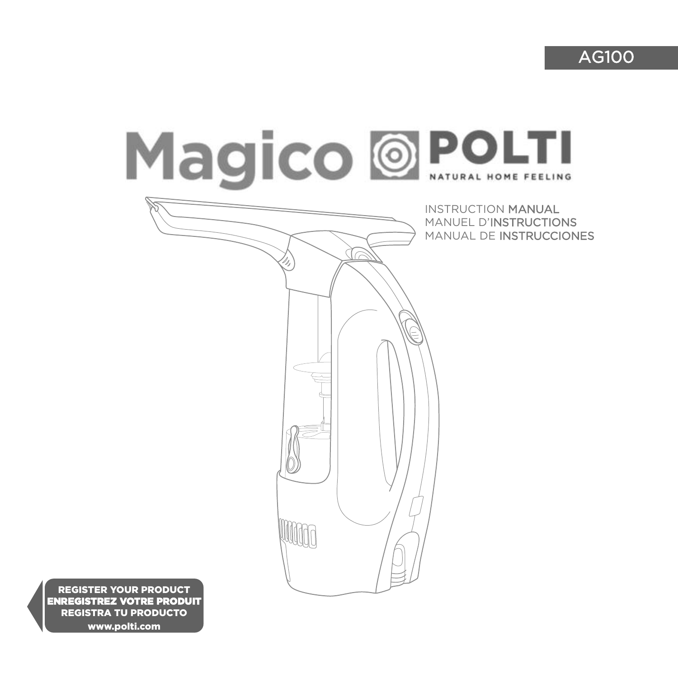AG100



**REGISTER YOUR PRODUCT ENREGISTREZ VOTRE PRODUIT REGISTRA TU PRODUCTO www.polti.com**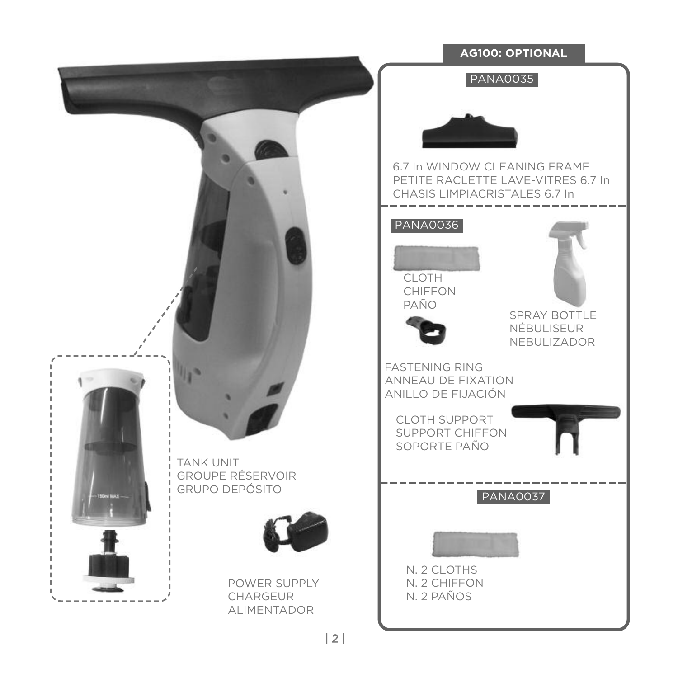![](_page_1_Picture_0.jpeg)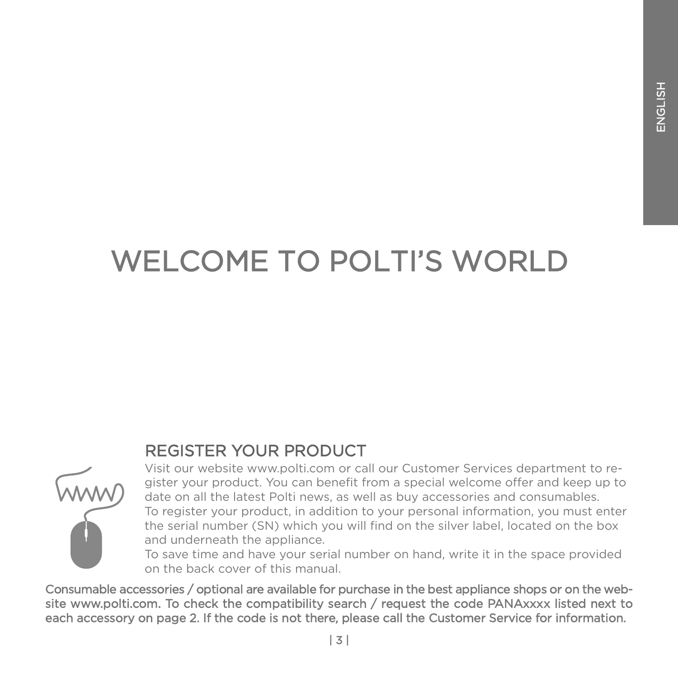# WELCOME TO POLTI'S WORLD

### REGISTER YOUR PRODUCT

![](_page_2_Picture_3.jpeg)

Visit our website www.polti.com or call our Customer Services department to register your product. You can benefit from a special welcome offer and keep up to date on all the latest Polti news, as well as buy accessories and consumables. To register your product, in addition to your personal information, you must enter the serial number (SN) which you will find on the silver label, located on the box and underneath the appliance.

To save time and have your serial number on hand, write it in the space provided on the back cover of this manual.

Consumable accessories / optional are available for purchase in the best appliance shops or on the website www.polti.com. To check the compatibility search / request the code PANAxxxx listed next to each accessory on page 2. If the code is not there, please call the Customer Service for information.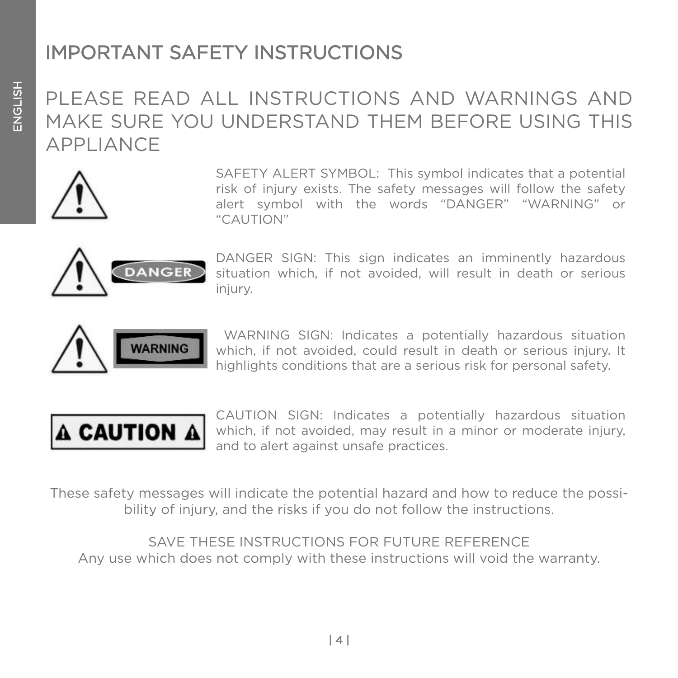# IMPORTANT SAFETY INSTRUCTIONS

## PLEASE READ ALL INSTRUCTIONS AND WARNINGS AND MAKE SURE YOU UNDERSTAND THEM BEFORE USING THIS APPLIANCE

![](_page_3_Picture_2.jpeg)

SAFETY ALERT SYMBOL: This symbol indicates that a potential risk of injury exists. The safety messages will follow the safety alert symbol with the words "DANGER" "WARNING" or "CAUTION"

![](_page_3_Picture_4.jpeg)

DANGER SIGN: This sign indicates an imminently hazardous situation which, if not avoided, will result in death or serious injury.

![](_page_3_Picture_6.jpeg)

WARNING SIGN: Indicates a potentially hazardous situation which, if not avoided, could result in death or serious injury. It highlights conditions that are a serious risk for personal safety.

![](_page_3_Picture_8.jpeg)

CAUTION SIGN: Indicates a potentially hazardous situation which, if not avoided, may result in a minor or moderate injury, and to alert against unsafe practices.

These safety messages will indicate the potential hazard and how to reduce the possibility of injury, and the risks if you do not follow the instructions.

SAVE THESE INSTRUCTIONS FOR FUTURE REFERENCE Any use which does not comply with these instructions will void the warranty.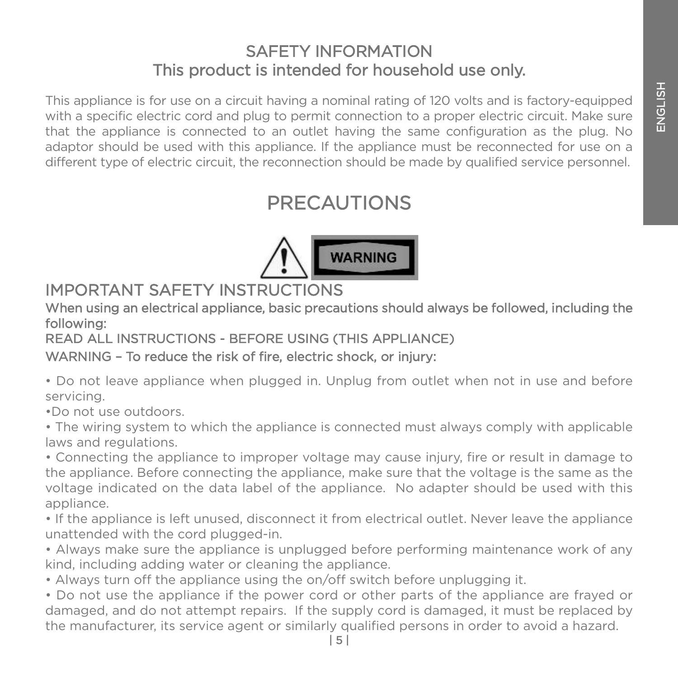#### SAFETY INFORMATION This product is intended for household use only.

This appliance is for use on a circuit having a nominal rating of 120 volts and is factory-equipped with a specific electric cord and plug to permit connection to a proper electric circuit. Make sure that the appliance is connected to an outlet having the same configuration as the plug. No adaptor should be used with this appliance. If the appliance must be reconnected for use on a different type of electric circuit, the reconnection should be made by qualified service personnel.

# PRECAUTIONS

![](_page_4_Picture_4.jpeg)

## IMPORTANT SAFETY INSTRUCTIONS

When using an electrical appliance, basic precautions should always be followed, including the following:

#### READ ALL INSTRUCTIONS - BEFORE USING (THIS APPLIANCE)

#### WARNING – To reduce the risk of fire, electric shock, or injury:

• Do not leave appliance when plugged in. Unplug from outlet when not in use and before servicing.

•Do not use outdoors.

• The wiring system to which the appliance is connected must always comply with applicable laws and regulations.

• Connecting the appliance to improper voltage may cause injury, fire or result in damage to the appliance. Before connecting the appliance, make sure that the voltage is the same as the voltage indicated on the data label of the appliance. No adapter should be used with this appliance.

• If the appliance is left unused, disconnect it from electrical outlet. Never leave the appliance unattended with the cord plugged-in.

• Always make sure the appliance is unplugged before performing maintenance work of any kind, including adding water or cleaning the appliance.

• Always turn off the appliance using the on/off switch before unplugging it.

• Do not use the appliance if the power cord or other parts of the appliance are frayed or damaged, and do not attempt repairs. If the supply cord is damaged, it must be replaced by the manufacturer, its service agent or similarly qualified persons in order to avoid a hazard.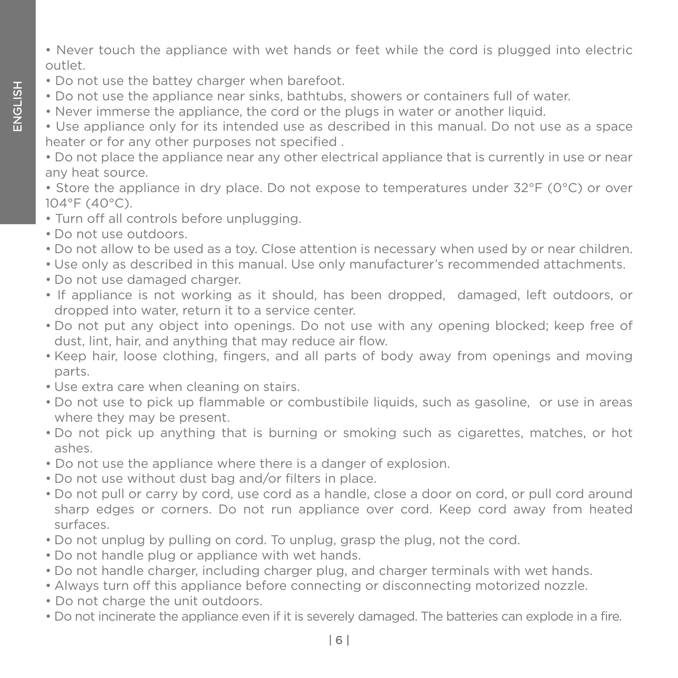- Never touch the appliance with wet hands or feet while the cord is plugged into electric outlet.
- Do not use the battey charger when barefoot.
- Do not use the appliance near sinks, bathtubs, showers or containers full of water.
- Never immerse the appliance, the cord or the plugs in water or another liquid.
- Use appliance only for its intended use as described in this manual. Do not use as a space heater or for any other purposes not specified .

• Do not place the appliance near any other electrical appliance that is currently in use or near any heat source.

• Store the appliance in dry place. Do not expose to temperatures under 32°F (0°C) or over 104°F (40°C).

- Turn off all controls before unplugging.
- Do not use outdoors.
- Do not allow to be used as a toy. Close attention is necessary when used by or near children.
- Use only as described in this manual. Use only manufacturer's recommended attachments.
- Do not use damaged charger.
- If appliance is not working as it should, has been dropped, damaged, left outdoors, or dropped into water, return it to a service center.
- Do not put any object into openings. Do not use with any opening blocked; keep free of dust, lint, hair, and anything that may reduce air flow.
- Keep hair, loose clothing, fingers, and all parts of body away from openings and moving parts.
- Use extra care when cleaning on stairs.
- Do not use to pick up flammable or combustibile liquids, such as gasoline, or use in areas where they may be present.
- Do not pick up anything that is burning or smoking such as cigarettes, matches, or hot ashes.
- Do not use the appliance where there is a danger of explosion.
- Do not use without dust bag and/or filters in place.
- Do not pull or carry by cord, use cord as a handle, close a door on cord, or pull cord around sharp edges or corners. Do not run appliance over cord. Keep cord away from heated surfaces.
- Do not unplug by pulling on cord. To unplug, grasp the plug, not the cord.
- Do not handle plug or appliance with wet hands.
- Do not handle charger, including charger plug, and charger terminals with wet hands.
- Always turn off this appliance before connecting or disconnecting motorized nozzle.
- Do not charge the unit outdoors.
- Do not incinerate the appliance even if it is severely damaged. The batteries can explode in a fire.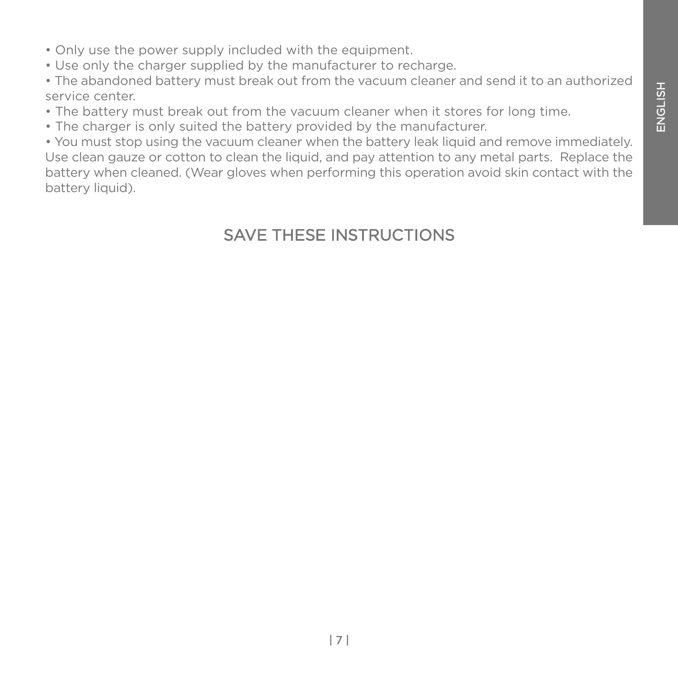- Only use the power supply included with the equipment.
- Use only the charger supplied by the manufacturer to recharge.
- The abandoned battery must break out from the vacuum cleaner and send it to an authorized service center.
- The battery must break out from the vacuum cleaner when it stores for long time.
- The charger is only suited the battery provided by the manufacturer.

• You must stop using the vacuum cleaner when the battery leak liquid and remove immediately. Use clean gauze or cotton to clean the liquid, and pay attention to any metal parts. Replace the battery when cleaned. (Wear gloves when performing this operation avoid skin contact with the battery liquid).

## SAVE THESE INSTRUCTIONS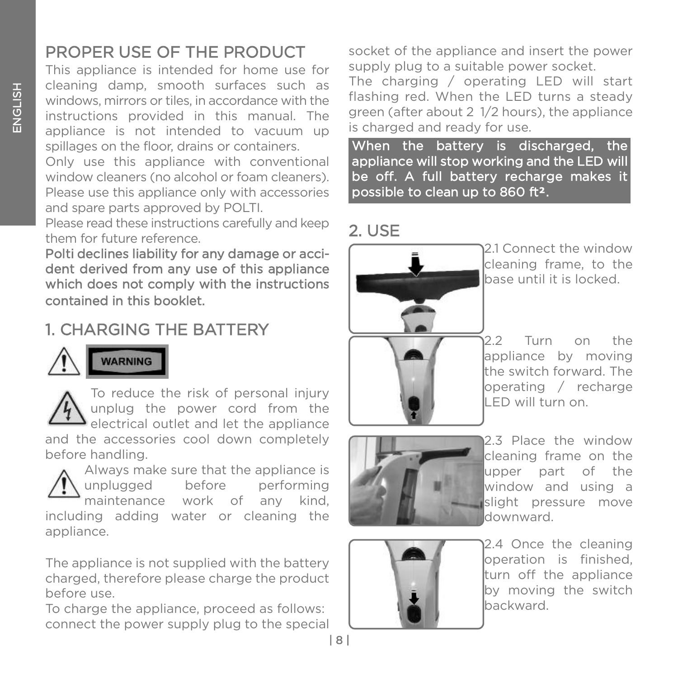#### PROPER USE OF THE PRODUCT

This appliance is intended for home use for cleaning damp, smooth surfaces such as windows, mirrors or tiles, in accordance with the instructions provided in this manual. The appliance is not intended to vacuum up spillages on the floor, drains or containers.

Only use this appliance with conventional window cleaners (no alcohol or foam cleaners). Please use this appliance only with accessories and spare parts approved by POLTI.

Please read these instructions carefully and keep them for future reference.

Polti declines liability for any damage or accident derived from any use of this appliance which does not comply with the instructions contained in this booklet.

## 1. CHARGING THE BATTERY

![](_page_7_Picture_6.jpeg)

**WARNING** 

To reduce the risk of personal injury unplug the power cord from the electrical outlet and let the appliance and the accessories cool down completely before handling.

Always make sure that the appliance is unplugged before performing maintenance work of any kind, including adding water or cleaning the appliance.

The appliance is not supplied with the battery charged, therefore please charge the product before use.

To charge the appliance, proceed as follows: connect the power supply plug to the special socket of the appliance and insert the power supply plug to a suitable power socket.

The charging / operating LED will start flashing red. When the LED turns a steady green (after about 2 1/2 hours), the appliance is charged and ready for use.

When the battery is discharged, the appliance will stop working and the LED will be off. A full battery recharge makes it possible to clean up to 860 ft**²**.

## 2. USE

![](_page_7_Picture_16.jpeg)

2.1 Connect the window cleaning frame, to the base until it is locked.

![](_page_7_Picture_18.jpeg)

2.2 Turn on the appliance by moving the switch forward. The operating / recharge LED will turn on.

![](_page_7_Picture_20.jpeg)

2.3 Place the window cleaning frame on the upper part of the window and using a slight pressure move downward.

![](_page_7_Picture_22.jpeg)

2.4 Once the cleaning operation is finished, turn off the appliance by moving the switch backward.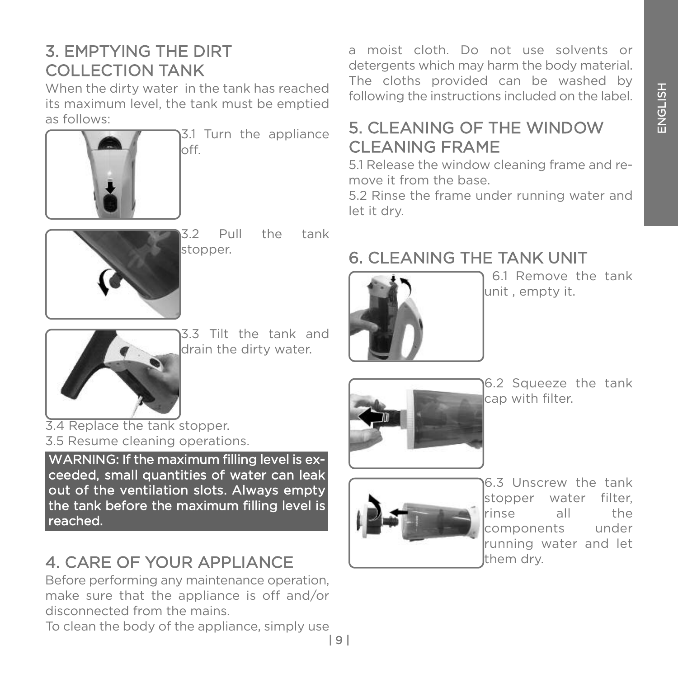## 3. EMPTYING THE DIRT COLLECTION TANK

When the dirty water in the tank has reached its maximum level, the tank must be emptied as follows:

![](_page_8_Picture_3.jpeg)

3.1 Turn the appliance off.

![](_page_8_Picture_5.jpeg)

3.2 Pull the tank stopper.

# 6. CLEANING THE TANK UNIT

5. CLEANING OF THE WINDOW

5.1 Release the window cleaning frame and re-

5.2 Rinse the frame under running water and

a moist cloth. Do not use solvents or detergents which may harm the body material. The cloths provided can be washed by following the instructions included on the label.

![](_page_8_Picture_8.jpeg)

CLEANING FRAME

move it from the base.

let it dry.

6.1 Remove the tank unit , empty it.

![](_page_8_Picture_10.jpeg)

3.3 Tilt the tank and drain the dirty water.

3.4 Replace the tank stopper. 3.5 Resume cleaning operations.

WARNING: If the maximum filling level is exceeded, small quantities of water can leak out of the ventilation slots. Always empty the tank before the maximum filling level is reached.

## 4. CARE OF YOUR APPLIANCE

Before performing any maintenance operation, make sure that the appliance is off and/or disconnected from the mains.

To clean the body of the appliance, simply use

![](_page_8_Picture_17.jpeg)

6.2 Squeeze the tank cap with filter.

![](_page_8_Picture_19.jpeg)

6.3 Unscrew the tank stopper water filter, rinse all the components under running water and let them dry.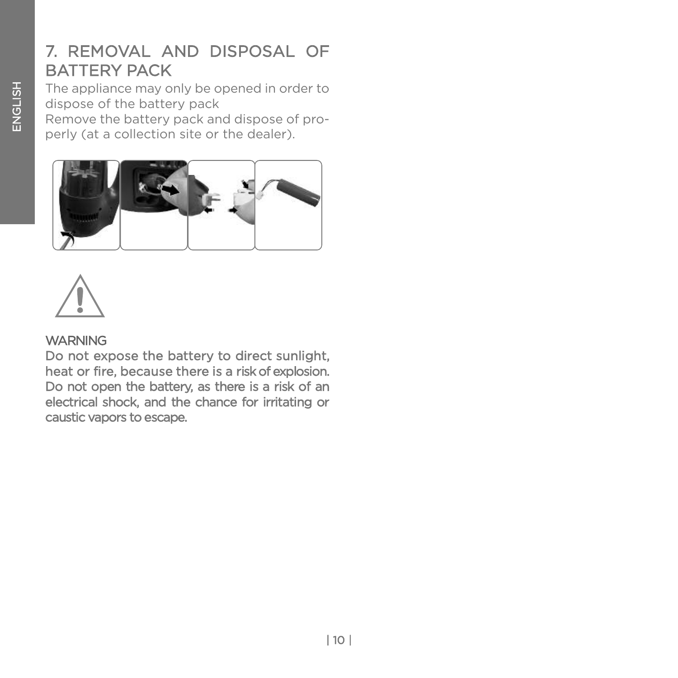#### 7. REMOVAL AND DISPOSAL OF BATTERY PACK

The appliance may only be opened in order to dispose of the battery pack

Remove the battery pack and dispose of properly (at a collection site or the dealer).

![](_page_9_Picture_4.jpeg)

![](_page_9_Figure_5.jpeg)

#### **WARNING**

Do not expose the battery to direct sunlight, heat or fire, because there is a risk of explosion. Do not open the battery, as there is a risk of an electrical shock, and the chance for irritating or caustic vapors to escape.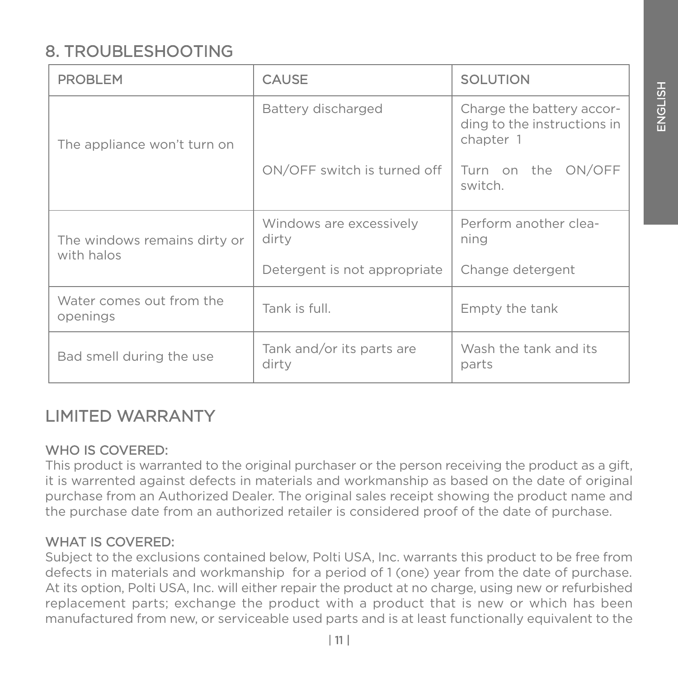## 8. TROUBLESHOOTING

| <b>PROBLEM</b>                             | <b>CAUSE</b>                       | <b>SOLUTION</b>                                                       |
|--------------------------------------------|------------------------------------|-----------------------------------------------------------------------|
| The appliance won't turn on                | Battery discharged                 | Charge the battery accor-<br>ding to the instructions in<br>chapter 1 |
|                                            | ON/OFF switch is turned off        | Turn on the ON/OFF<br>switch.                                         |
| The windows remains dirty or<br>with halos | Windows are excessively<br>dirty   | Perform another clea-<br>ning                                         |
|                                            | Detergent is not appropriate       | Change detergent                                                      |
| Water comes out from the<br>openings       | Tank is full.                      | Empty the tank                                                        |
| Bad smell during the use                   | Tank and/or its parts are<br>dirty | Wash the tank and its<br>parts                                        |

## LIMITED WARRANTY

#### WHO IS COVERED:

This product is warranted to the original purchaser or the person receiving the product as a gift, it is warrented against defects in materials and workmanship as based on the date of original purchase from an Authorized Dealer. The original sales receipt showing the product name and the purchase date from an authorized retailer is considered proof of the date of purchase.

#### WHAT IS COVERED:

Subject to the exclusions contained below, Polti USA, Inc. warrants this product to be free from defects in materials and workmanship for a period of 1 (one) year from the date of purchase. At its option, Polti USA, Inc. will either repair the product at no charge, using new or refurbished replacement parts; exchange the product with a product that is new or which has been manufactured from new, or serviceable used parts and is at least functionally equivalent to the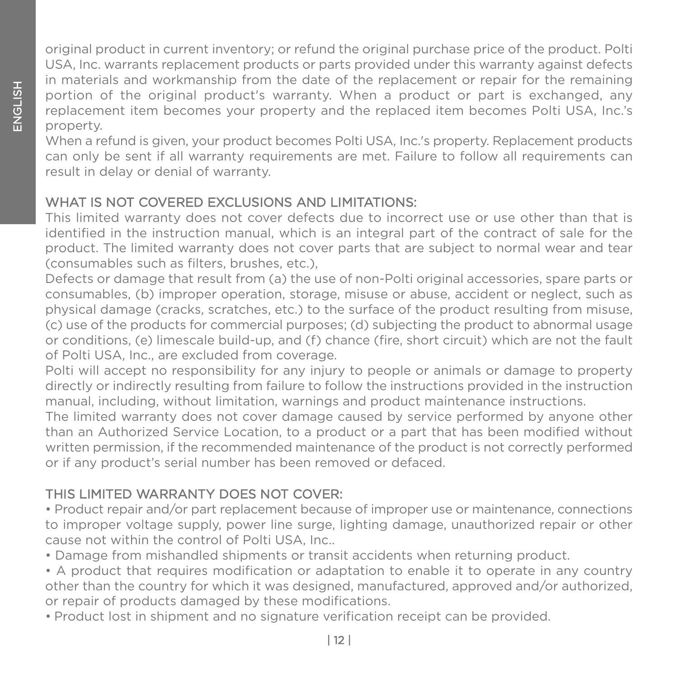original product in current inventory; or refund the original purchase price of the product. Polti USA, Inc. warrants replacement products or parts provided under this warranty against defects in materials and workmanship from the date of the replacement or repair for the remaining portion of the original product's warranty. When a product or part is exchanged, any replacement item becomes your property and the replaced item becomes Polti USA, Inc.'s property.

When a refund is given, your product becomes Polti USA, Inc.'s property. Replacement products can only be sent if all warranty requirements are met. Failure to follow all requirements can result in delay or denial of warranty.

#### WHAT IS NOT COVERED EXCLUSIONS AND LIMITATIONS:

This limited warranty does not cover defects due to incorrect use or use other than that is identified in the instruction manual, which is an integral part of the contract of sale for the product. The limited warranty does not cover parts that are subject to normal wear and tear (consumables such as filters, brushes, etc.),

Defects or damage that result from (a) the use of non-Polti original accessories, spare parts or consumables, (b) improper operation, storage, misuse or abuse, accident or neglect, such as physical damage (cracks, scratches, etc.) to the surface of the product resulting from misuse, (c) use of the products for commercial purposes; (d) subjecting the product to abnormal usage or conditions, (e) limescale build-up, and (f) chance (fire, short circuit) which are not the fault of Polti USA, Inc., are excluded from coverage.

Polti will accept no responsibility for any injury to people or animals or damage to property directly or indirectly resulting from failure to follow the instructions provided in the instruction manual, including, without limitation, warnings and product maintenance instructions.

The limited warranty does not cover damage caused by service performed by anyone other than an Authorized Service Location, to a product or a part that has been modified without written permission, if the recommended maintenance of the product is not correctly performed or if any product's serial number has been removed or defaced.

#### THIS LIMITED WARRANTY DOES NOT COVER:

• Product repair and/or part replacement because of improper use or maintenance, connections to improper voltage supply, power line surge, lighting damage, unauthorized repair or other cause not within the control of Polti USA, Inc..

• Damage from mishandled shipments or transit accidents when returning product.

• A product that requires modification or adaptation to enable it to operate in any country other than the country for which it was designed, manufactured, approved and/or authorized, or repair of products damaged by these modifications.

• Product lost in shipment and no signature verification receipt can be provided.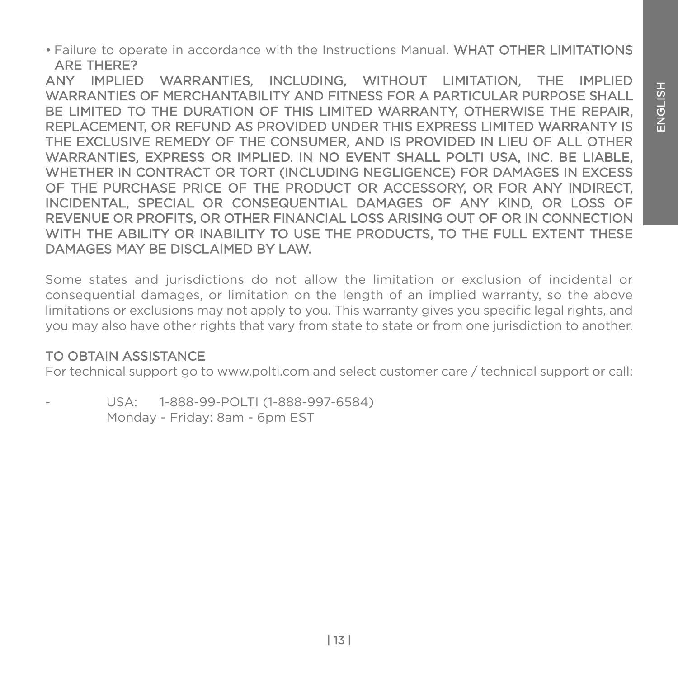• Failure to operate in accordance with the Instructions Manual. WHAT OTHER LIMITATIONS ARE THERE?

ANY IMPLIED WARRANTIES, INCLUDING, WITHOUT LIMITATION, THE IMPLIED WARRANTIES OF MERCHANTABILITY AND FITNESS FOR A PARTICULAR PURPOSE SHALL BE LIMITED TO THE DURATION OF THIS LIMITED WARRANTY, OTHERWISE THE REPAIR, REPLACEMENT, OR REFUND AS PROVIDED UNDER THIS EXPRESS LIMITED WARRANTY IS THE EXCLUSIVE REMEDY OF THE CONSUMER, AND IS PROVIDED IN LIEU OF ALL OTHER WARRANTIES, EXPRESS OR IMPLIED. IN NO EVENT SHALL POLTI USA, INC. BE LIABLE, WHETHER IN CONTRACT OR TORT (INCLUDING NEGLIGENCE) FOR DAMAGES IN EXCESS OF THE PURCHASE PRICE OF THE PRODUCT OR ACCESSORY, OR FOR ANY INDIRECT, INCIDENTAL, SPECIAL OR CONSEqUENTIAL DAMAGES OF ANY KIND, OR LOSS OF REVENUE OR PROFITS, OR OTHER FINANCIAL LOSS ARISING OUT OF OR IN CONNECTION WITH THE ABILITY OR INABILITY TO USE THE PRODUCTS, TO THE FULL EXTENT THESE DAMAGES MAY BE DISCLAIMED BY LAW.

Some states and jurisdictions do not allow the limitation or exclusion of incidental or consequential damages, or limitation on the length of an implied warranty, so the above limitations or exclusions may not apply to you. This warranty gives you specific legal rights, and you may also have other rights that vary from state to state or from one jurisdiction to another.

#### TO OBTAIN ASSISTANCE

For technical support go to www.polti.com and select customer care / technical support or call:

USA: 1-888-99-POLTI (1-888-997-6584) Monday - Friday: 8am - 6pm EST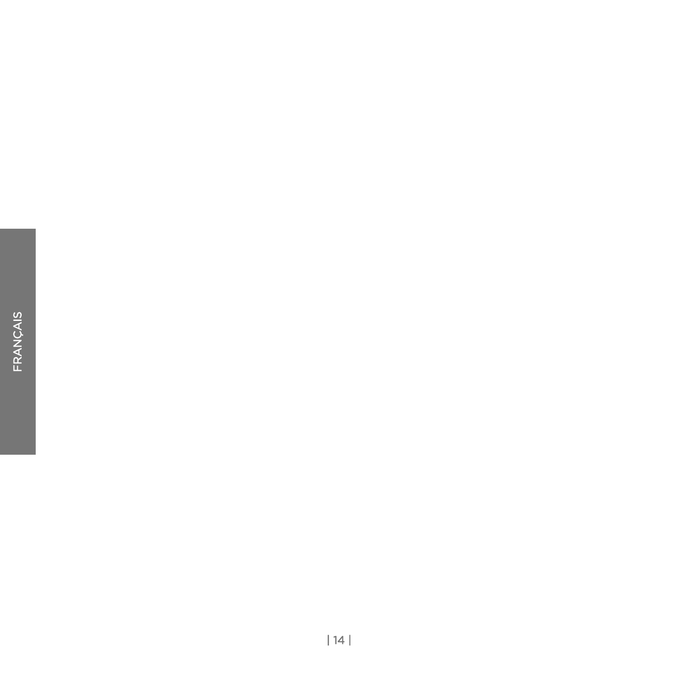**FRANÇAIS** FRANÇAIS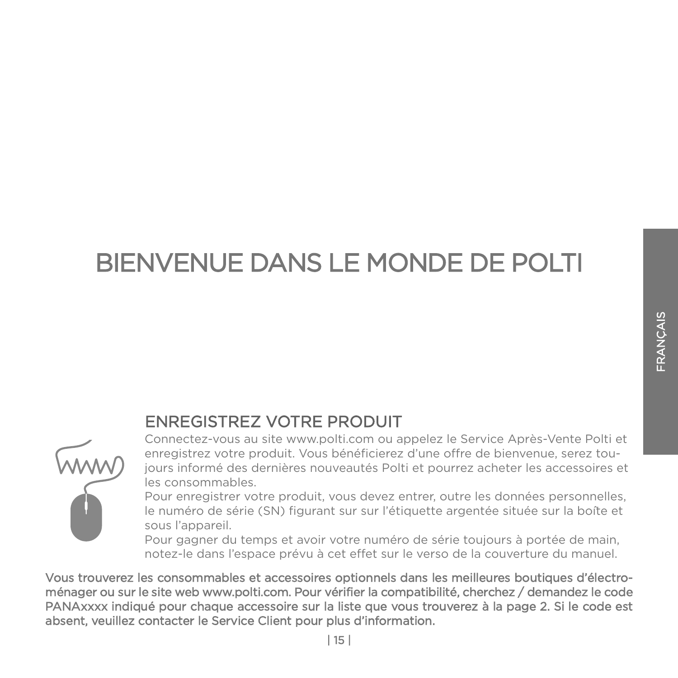# BIENVENUE DANS LE MONDE DE POLTI

## ENREGISTREZ VOTRE PRODUIT

![](_page_14_Picture_3.jpeg)

Connectez-vous au site www.polti.com ou appelez le Service Après-Vente Polti et enregistrez votre produit. Vous bénéficierez d'une offre de bienvenue, serez toujours informé des dernières nouveautés Polti et pourrez acheter les accessoires et les consommables.

Pour enregistrer votre produit, vous devez entrer, outre les données personnelles, le numéro de série (SN) figurant sur sur l'étiquette argentée située sur la boîte et sous l'appareil.

Pour gagner du temps et avoir votre numéro de série toujours à portée de main, notez-le dans l'espace prévu à cet effet sur le verso de la couverture du manuel.

Vous trouverez les consommables et accessoires optionnels dans les meilleures boutiques d'électroménager ou sur le site web www.polti.com. Pour vérifier la compatibilité, cherchez / demandez le code PANAxxxx indiqué pour chaque accessoire sur la liste que vous trouverez à la page 2. Si le code est absent, veuillez contacter le Service Client pour plus d'information.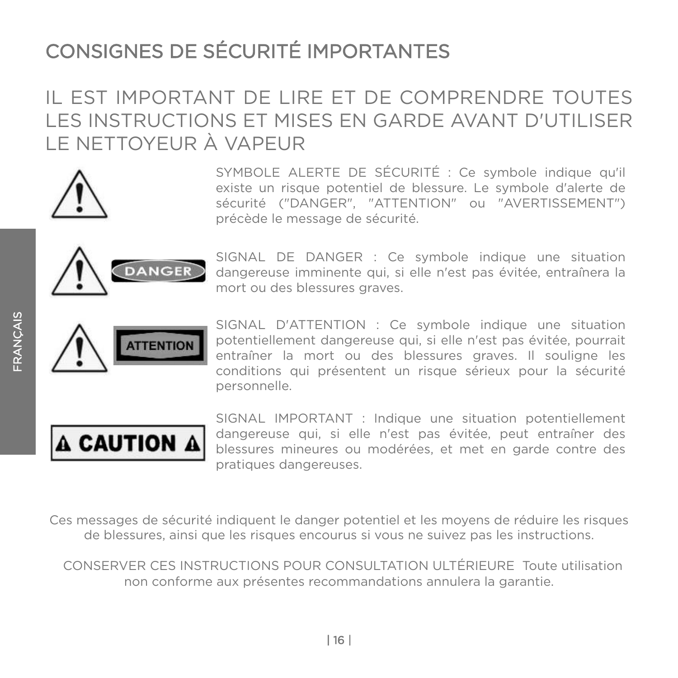# CONSIGNES DE SÉCURITÉ IMPORTANTES

# IL EST IMPORTANT DE LIRE ET DE COMPRENDRE TOUTES LES INSTRUCTIONS ET MISES EN GARDE AVANT D'UTILISER LE NETTOYEUR À VAPEUR

![](_page_15_Picture_2.jpeg)

SYMBOLE ALERTE DE SÉCURITÉ : Ce symbole indique qu'il existe un risque potentiel de blessure. Le symbole d'alerte de sécurité ("DANGER", "ATTENTION" ou "AVERTISSEMENT") précède le message de sécurité.

![](_page_15_Picture_4.jpeg)

SIGNAL DE DANGER : Ce symbole indique une situation dangereuse imminente qui, si elle n'est pas évitée, entraînera la mort ou des blessures graves.

![](_page_15_Picture_6.jpeg)

SIGNAL D'ATTENTION : Ce symbole indique une situation potentiellement dangereuse qui, si elle n'est pas évitée, pourrait entraîner la mort ou des blessures graves. Il souligne les conditions qui présentent un risque sérieux pour la sécurité personnelle.

![](_page_15_Picture_8.jpeg)

SIGNAL IMPORTANT : Indique une situation potentiellement dangereuse qui, si elle n'est pas évitée, peut entraîner des blessures mineures ou modérées, et met en garde contre des pratiques dangereuses.

Ces messages de sécurité indiquent le danger potentiel et les moyens de réduire les risques de blessures, ainsi que les risques encourus si vous ne suivez pas les instructions.

CONSERVER CES INSTRUCTIONS POUR CONSULTATION ULTÉRIEURE Toute utilisation non conforme aux présentes recommandations annulera la garantie.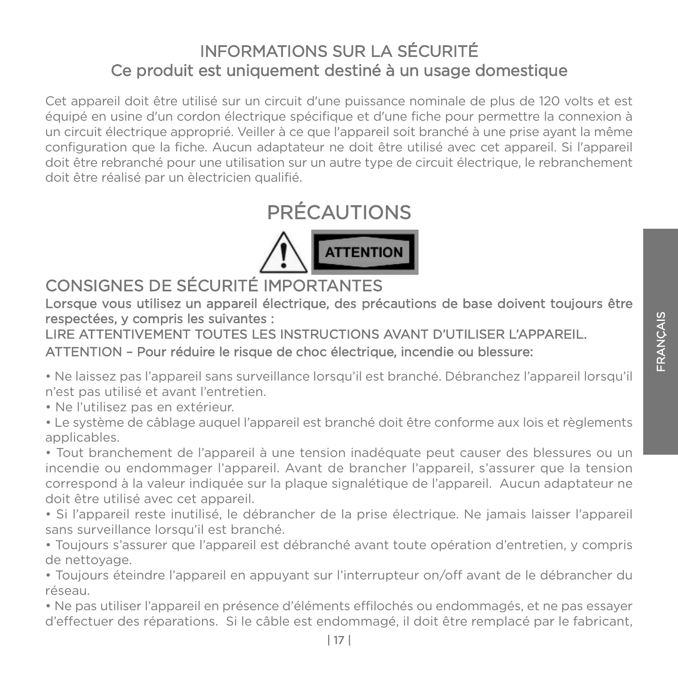#### INFORMATIONS SUR LA SÉCURITÉ Ce produit est uniquement destiné à un usage domestique

Cet appareil doit être utilisé sur un circuit d'une puissance nominale de plus de 120 volts et est équipé en usine d'un cordon électrique spécifique et d'une fiche pour permettre la connexion à un circuit électrique approprié. Veiller à ce que l'appareil soit branché à une prise ayant la même configuration que la fiche. Aucun adaptateur ne doit être utilisé avec cet appareil. Si l'appareil doit être rebranché pour une utilisation sur un autre type de circuit électrique, le rebranchement doit être réalisé par un èlectricien qualifié.

![](_page_16_Picture_2.jpeg)

![](_page_16_Picture_3.jpeg)

## CONSIGNES DE SÉCURITÉ IMPORTANTES

Lorsque vous utilisez un appareil électrique, des précautions de base doivent toujours être respectées, y compris les suivantes :

LIRE ATTENTIVEMENT TOUTES LES INSTRUCTIONS AVANT D'UTILISER L'APPAREIL. ATTENTION – Pour réduire le risque de choc électrique, incendie ou blessure:

• Ne laissez pas l'appareil sans surveillance lorsqu'il est branché. Débranchez l'appareil lorsqu'il n'est pas utilisé et avant l'entretien.

• Ne l'utilisez pas en extérieur.

• Le système de câblage auquel l'appareil est branché doit être conforme aux lois et règlements applicables.

• Tout branchement de l'appareil à une tension inadéquate peut causer des blessures ou un incendie ou endommager l'appareil. Avant de brancher l'appareil, s'assurer que la tension correspond à la valeur indiquée sur la plaque signalétique de l'appareil. Aucun adaptateur ne doit être utilisé avec cet appareil.

• Si l'appareil reste inutilisé, le débrancher de la prise électrique. Ne jamais laisser l'appareil sans surveillance lorsqu'il est branché.

• Toujours s'assurer que l'appareil est débranché avant toute opération d'entretien, y compris de nettoyage.

• Toujours éteindre l'appareil en appuyant sur l'interrupteur on/off avant de le débrancher du réseau.

• Ne pas utiliser l'appareil en présence d'éléments effilochés ou endommagés, et ne pas essayer d'effectuer des réparations. Si le câble est endommagé, il doit être remplacé par le fabricant,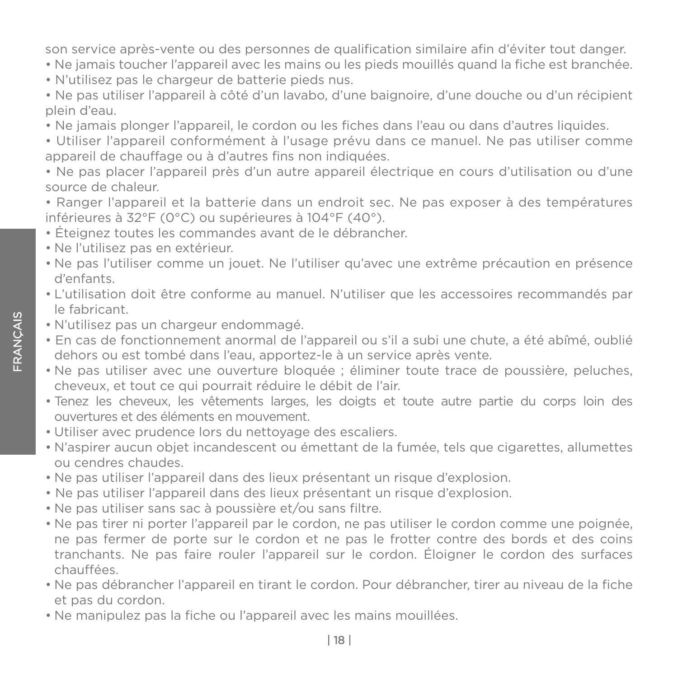son service après-vente ou des personnes de qualification similaire afin d'éviter tout danger.

- Ne jamais toucher l'appareil avec les mains ou les pieds mouillés quand la fiche est branchée.
- N'utilisez pas le chargeur de batterie pieds nus.
- Ne pas utiliser l'appareil à côté d'un lavabo, d'une baignoire, d'une douche ou d'un récipient plein d'eau.
- Ne jamais plonger l'appareil, le cordon ou les fiches dans l'eau ou dans d'autres liquides.
- Utiliser l'appareil conformément à l'usage prévu dans ce manuel. Ne pas utiliser comme appareil de chauffage ou à d'autres fins non indiquées.
- Ne pas placer l'appareil près d'un autre appareil électrique en cours d'utilisation ou d'une source de chaleur.
- Ranger l'appareil et la batterie dans un endroit sec. Ne pas exposer à des températures inférieures à 32°F (0°C) ou supérieures à 104°F (40°).
- Éteignez toutes les commandes avant de le débrancher.
- Ne l'utilisez pas en extérieur.
- Ne pas l'utiliser comme un jouet. Ne l'utiliser qu'avec une extrême précaution en présence d'enfants.
- L'utilisation doit être conforme au manuel. N'utiliser que les accessoires recommandés par le fabricant.
- N'utilisez pas un chargeur endommagé.
- En cas de fonctionnement anormal de l'appareil ou s'il a subi une chute, a été abîmé, oublié dehors ou est tombé dans l'eau, apportez-le à un service après vente.
- Ne pas utiliser avec une ouverture bloquée ; éliminer toute trace de poussière, peluches, cheveux, et tout ce qui pourrait réduire le débit de l'air.
- Tenez les cheveux, les vêtements larges, les doigts et toute autre partie du corps loin des ouvertures et des éléments en mouvement.
- Utiliser avec prudence lors du nettoyage des escaliers.
- N'aspirer aucun objet incandescent ou émettant de la fumée, tels que cigarettes, allumettes ou cendres chaudes.
- Ne pas utiliser l'appareil dans des lieux présentant un risque d'explosion.
- Ne pas utiliser l'appareil dans des lieux présentant un risque d'explosion.
- Ne pas utiliser sans sac à poussière et/ou sans filtre.
- Ne pas tirer ni porter l'appareil par le cordon, ne pas utiliser le cordon comme une poignée, ne pas fermer de porte sur le cordon et ne pas le frotter contre des bords et des coins tranchants. Ne pas faire rouler l'appareil sur le cordon. Éloigner le cordon des surfaces chauffées.
- Ne pas débrancher l'appareil en tirant le cordon. Pour débrancher, tirer au niveau de la fiche et pas du cordon.
- Ne manipulez pas la fiche ou l'appareil avec les mains mouillées.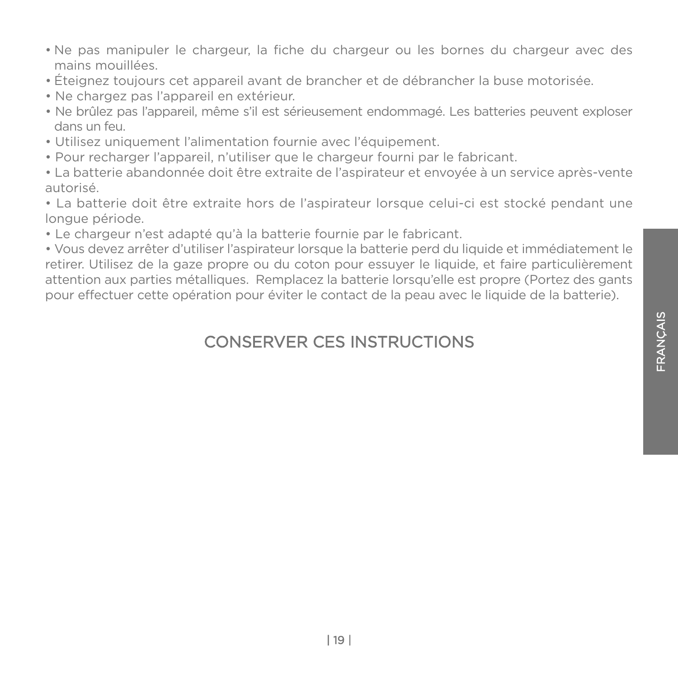- Ne pas manipuler le chargeur, la fiche du chargeur ou les bornes du chargeur avec des mains mouillées.
- Éteignez toujours cet appareil avant de brancher et de débrancher la buse motorisée.
- Ne chargez pas l'appareil en extérieur.
- Ne brûlez pas l'appareil, même s'il est sérieusement endommagé. Les batteries peuvent exploser dans un feu.
- Utilisez uniquement l'alimentation fournie avec l'équipement.
- Pour recharger l'appareil, n'utiliser que le chargeur fourni par le fabricant.
- La batterie abandonnée doit être extraite de l'aspirateur et envoyée à un service après-vente autorisé.
- La batterie doit être extraite hors de l'aspirateur lorsque celui-ci est stocké pendant une longue période.
- Le chargeur n'est adapté qu'à la batterie fournie par le fabricant.

• Vous devez arrêter d'utiliser l'aspirateur lorsque la batterie perd du liquide et immédiatement le retirer. Utilisez de la gaze propre ou du coton pour essuyer le liquide, et faire particulièrement attention aux parties métalliques. Remplacez la batterie lorsqu'elle est propre (Portez des gants pour effectuer cette opération pour éviter le contact de la peau avec le liquide de la batterie).

## CONSERVER CES INSTRUCTIONS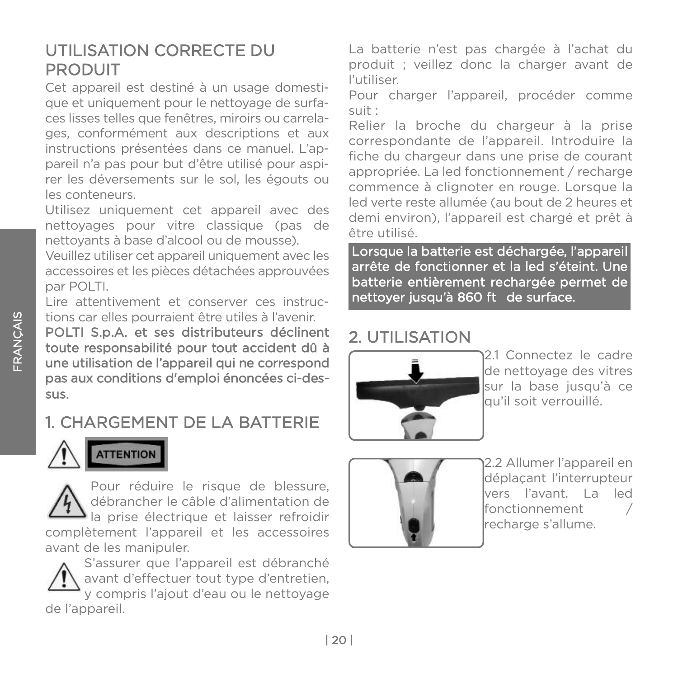#### UTILISATION CORRECTE DU PRODUIT

Cet appareil est destiné à un usage domestique et uniquement pour le nettoyage de surfaces lisses telles que fenêtres, miroirs ou carrelages, conformément aux descriptions et aux instructions présentées dans ce manuel. L'appareil n'a pas pour but d'être utilisé pour aspirer les déversements sur le sol, les égouts ou les conteneurs.

Utilisez uniquement cet appareil avec des nettoyages pour vitre classique (pas de nettoyants à base d'alcool ou de mousse).

Veuillez utiliser cet appareil uniquement avec les accessoires et les pièces détachées approuvées par POLTI.

Lire attentivement et conserver ces instructions car elles pourraient être utiles à l'avenir.

POLTI S.p.A. et ses distributeurs déclinent toute responsabilité pour tout accident dû à une utilisation de l'appareil qui ne correspond pas aux conditions d'emploi énoncées ci-dessus.

#### 1. CHARGEMENT DE LA BATTERIE

![](_page_19_Picture_7.jpeg)

Pour réduire le risque de blessure, débrancher le câble d'alimentation de la prise électrique et laisser refroidir complètement l'appareil et les accessoires avant de les manipuler.

S'assurer que l'appareil est débranché avant d'effectuer tout type d'entretien, y compris l'ajout d'eau ou le nettoyage de l'appareil.

La batterie n'est pas chargée à l'achat du produit ; veillez donc la charger avant de l'utiliser.

Pour charger l'appareil, procéder comme suit :

Relier la broche du chargeur à la prise correspondante de l'appareil. Introduire la fiche du chargeur dans une prise de courant appropriée. La led fonctionnement / recharge commence à clignoter en rouge. Lorsque la led verte reste allumée (au bout de 2 heures et demi environ), l'appareil est chargé et prêt à être utilisé.

Lorsque la batterie est déchargée, l'appareil arrête de fonctionner et la led s'éteint. Une batterie entièrement rechargée permet de nettoyer jusqu'à 860 ft de surface.

#### 2. UTILISATION

![](_page_19_Picture_15.jpeg)

2.1 Connectez le cadre de nettoyage des vitres sur la base jusqu'à ce qu'il soit verrouillé.

![](_page_19_Picture_17.jpeg)

2.2 Allumer l'appareil en déplaçant l'interrupteur vers l'avant. La led fonctionnement recharge s'allume.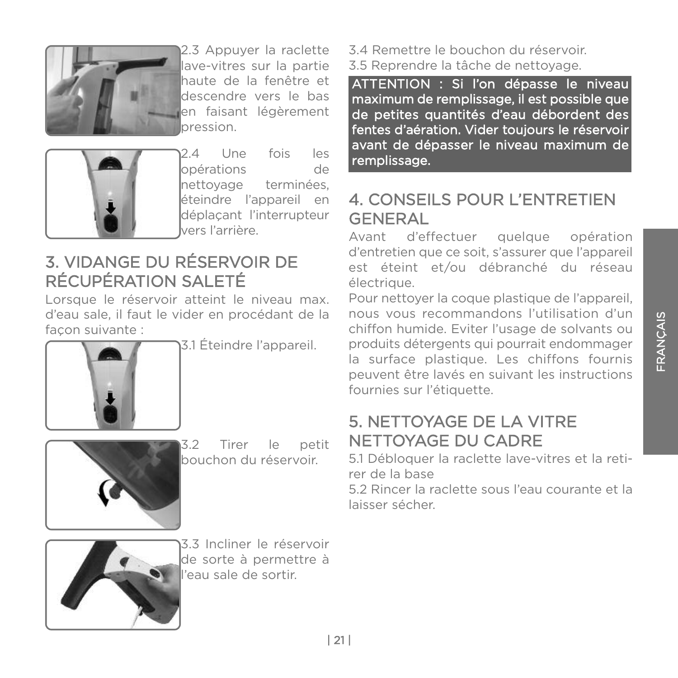![](_page_20_Picture_1.jpeg)

2.3 Appuyer la raclette lave-vitres sur la partie haute de la fenêtre et descendre vers le bas en faisant légèrement pression.

![](_page_20_Picture_3.jpeg)

2.4 Une fois les opérations de nettoyage terminées, éteindre l'appareil en déplaçant l'interrupteur vers l'arrière.

## 3. VIDANGE DU RÉSERVOIR DE RÉCUPÉRATION SALETÉ

Lorsque le réservoir atteint le niveau max. d'eau sale, il faut le vider en procédant de la façon suivante :

![](_page_20_Picture_7.jpeg)

3.1 Éteindre l'appareil.

![](_page_20_Picture_9.jpeg)

![](_page_20_Picture_10.jpeg)

3.3 Incliner le réservoir de sorte à permettre à l'eau sale de sortir.

#### 3.4 Remettre le bouchon du réservoir. 3.5 Reprendre la tâche de nettoyage.

ATTENTION : Si l'on dépasse le niveau maximum de remplissage, il est possible que de petites quantités d'eau débordent des fentes d'aération. Vider toujours le réservoir avant de dépasser le niveau maximum de remplissage.

#### 4. CONSEILS POUR L'ENTRETIEN **GENERAL**

Avant d'effectuer quelque opération d'entretien que ce soit, s'assurer que l'appareil est éteint et/ou débranché du réseau électrique.

Pour nettoyer la coque plastique de l'appareil, nous vous recommandons l'utilisation d'un chiffon humide. Eviter l'usage de solvants ou produits détergents qui pourrait endommager la surface plastique. Les chiffons fournis peuvent être lavés en suivant les instructions fournies sur l'étiquette.

## 5. NETTOYAGE DE LA VITRE NETTOYAGE DU CADRE

5.1 Débloquer la raclette lave-vitres et la retirer de la base

5.2 Rincer la raclette sous l'eau courante et la laisser sécher.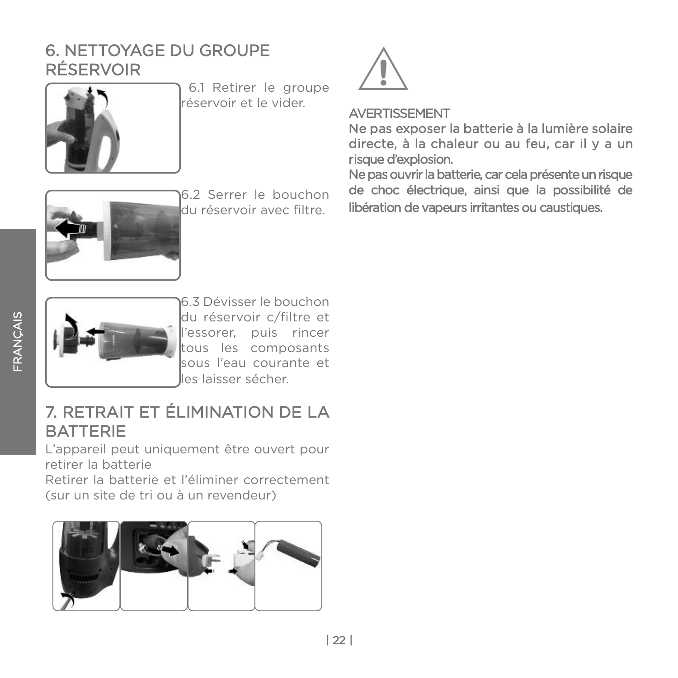## 6. NETTOYAGE DU GROUPE RÉSERVOIR

![](_page_21_Picture_1.jpeg)

6.1 Retirer le groupe réservoir et le vider.

![](_page_21_Picture_3.jpeg)

AVERTISSEMENT

Ne pas exposer la batterie à la lumière solaire directe, à la chaleur ou au feu, car il y a un risque d'explosion.

Ne pas ouvrir la batterie, car cela présente un risque de choc électrique, ainsi que la possibilité de libération de vapeurs irritantes ou caustiques.

![](_page_21_Picture_7.jpeg)

6.2 Serrer le bouchon du réservoir avec filtre.

![](_page_21_Picture_9.jpeg)

6.3 Dévisser le bouchon du réservoir c/filtre et 'essorer, puis rincer tous les composants sous l'eau courante et les laisser sécher.

## 7. RETRAIT ET ÉLIMINATION DE LA BATTERIE

L'appareil peut uniquement être ouvert pour retirer la batterie

Retirer la batterie et l'éliminer correctement (sur un site de tri ou à un revendeur)

![](_page_21_Picture_14.jpeg)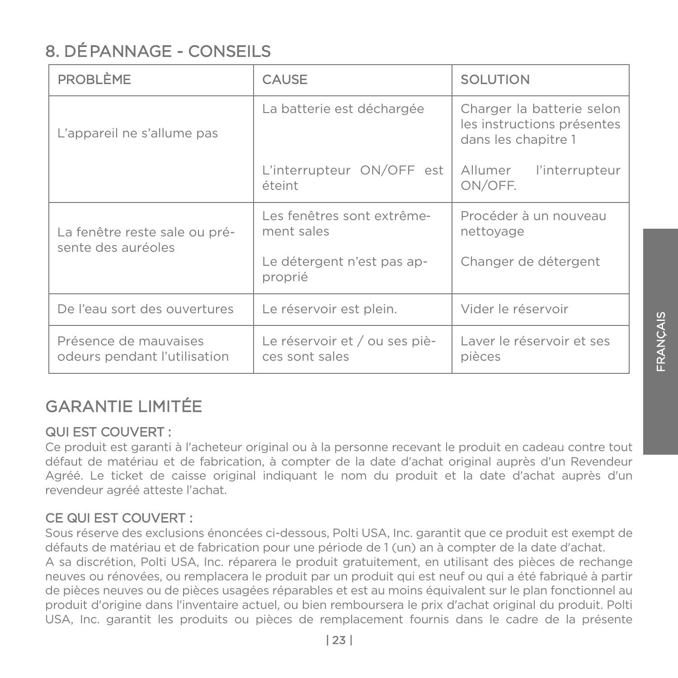| <b>PROBLÈME</b>                                       | <b>CAUSE</b>                                    | <b>SOLUTION</b>                                                                |
|-------------------------------------------------------|-------------------------------------------------|--------------------------------------------------------------------------------|
| L'appareil ne s'allume pas                            | La batterie est déchargée                       | Charger la batterie selon<br>les instructions présentes<br>dans les chapitre 1 |
|                                                       | L'interrupteur ON/OFF est<br>éteint             | Allumer<br>l'interrupteur<br>ON/OFF.                                           |
| La fenêtre reste sale ou pré-<br>sente des auréoles   | Les fenêtres sont extrême-<br>ment sales        | Procéder à un nouveau<br>nettoyage                                             |
|                                                       | Le détergent n'est pas ap-<br>proprié           | Changer de détergent                                                           |
| De l'eau sort des ouvertures                          | Le réservoir est plein.                         | Vider le réservoir                                                             |
| Présence de mauvaises<br>odeurs pendant l'utilisation | Le réservoir et / ou ses piè-<br>ces sont sales | Laver le réservoir et ses<br>pièces                                            |

# GARANTIE LIMITÉE

#### qUI EST COUVERT :

Ce produit est garanti à l'acheteur original ou à la personne recevant le produit en cadeau contre tout défaut de matériau et de fabrication, à compter de la date d'achat original auprès d'un Revendeur Agréé. Le ticket de caisse original indiquant le nom du produit et la date d'achat auprès d'un revendeur agréé atteste l'achat.

#### CE qUI EST COUVERT :

Sous réserve des exclusions énoncées ci-dessous, Polti USA, Inc. garantit que ce produit est exempt de défauts de matériau et de fabrication pour une période de 1 (un) an à compter de la date d'achat. A sa discrétion, Polti USA, Inc. réparera le produit gratuitement, en utilisant des pièces de rechange

neuves ou rénovées, ou remplacera le produit par un produit qui est neuf ou qui a été fabriqué à partir de pièces neuves ou de pièces usagées réparables et est au moins équivalent sur le plan fonctionnel au produit d'origine dans l'inventaire actuel, ou bien remboursera le prix d'achat original du produit. Polti USA, Inc. garantit les produits ou pièces de remplacement fournis dans le cadre de la présente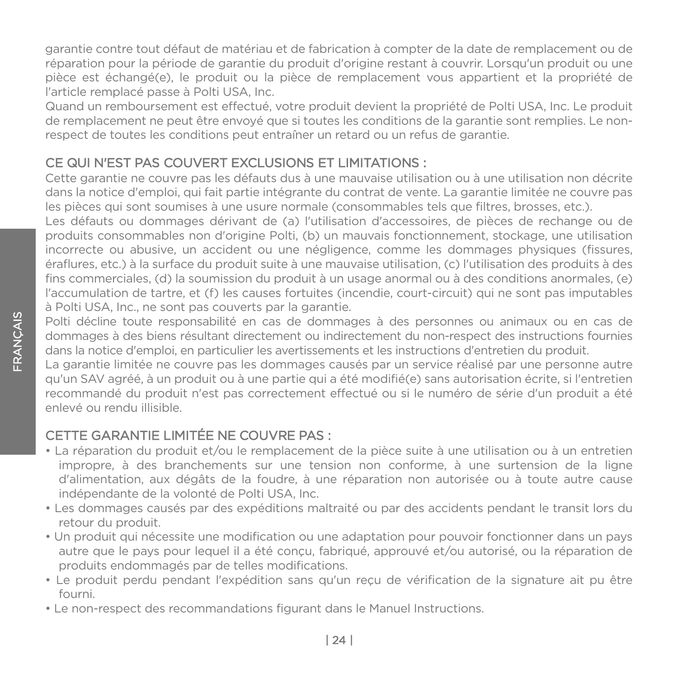garantie contre tout défaut de matériau et de fabrication à compter de la date de remplacement ou de réparation pour la période de garantie du produit d'origine restant à couvrir. Lorsqu'un produit ou une pièce est échangé(e), le produit ou la pièce de remplacement vous appartient et la propriété de l'article remplacé passe à Polti USA, Inc.

quand un remboursement est effectué, votre produit devient la propriété de Polti USA, Inc. Le produit de remplacement ne peut être envoyé que si toutes les conditions de la garantie sont remplies. Le nonrespect de toutes les conditions peut entraîner un retard ou un refus de garantie.

#### CE qUI N'EST PAS COUVERT EXCLUSIONS ET LIMITATIONS :

Cette garantie ne couvre pas les défauts dus à une mauvaise utilisation ou à une utilisation non décrite dans la notice d'emploi, qui fait partie intégrante du contrat de vente. La garantie limitée ne couvre pas les pièces qui sont soumises à une usure normale (consommables tels que filtres, brosses, etc.).

Les défauts ou dommages dérivant de (a) l'utilisation d'accessoires, de pièces de rechange ou de produits consommables non d'origine Polti, (b) un mauvais fonctionnement, stockage, une utilisation incorrecte ou abusive, un accident ou une négligence, comme les dommages physiques (fissures, éraflures, etc.) à la surface du produit suite à une mauvaise utilisation, (c) l'utilisation des produits à des fins commerciales, (d) la soumission du produit à un usage anormal ou à des conditions anormales, (e) l'accumulation de tartre, et (f) les causes fortuites (incendie, court-circuit) qui ne sont pas imputables à Polti USA, Inc., ne sont pas couverts par la garantie.

Polti décline toute responsabilité en cas de dommages à des personnes ou animaux ou en cas de dommages à des biens résultant directement ou indirectement du non-respect des instructions fournies dans la notice d'emploi, en particulier les avertissements et les instructions d'entretien du produit.

La garantie limitée ne couvre pas les dommages causés par un service réalisé par une personne autre qu'un SAV agréé, à un produit ou à une partie qui a été modifié(e) sans autorisation écrite, si l'entretien recommandé du produit n'est pas correctement effectué ou si le numéro de série d'un produit a été enlevé ou rendu illisible.

#### CETTE GARANTIE LIMITÉE NE COUVRE PAS :

- La réparation du produit et/ou le remplacement de la pièce suite à une utilisation ou à un entretien impropre, à des branchements sur une tension non conforme, à une surtension de la ligne d'alimentation, aux dégâts de la foudre, à une réparation non autorisée ou à toute autre cause indépendante de la volonté de Polti USA, Inc.
- Les dommages causés par des expéditions maltraité ou par des accidents pendant le transit lors du retour du produit.
- Un produit qui nécessite une modification ou une adaptation pour pouvoir fonctionner dans un pays autre que le pays pour lequel il a été conçu, fabriqué, approuvé et/ou autorisé, ou la réparation de produits endommagés par de telles modifications.
- Le produit perdu pendant l'expédition sans qu'un reçu de vérification de la signature ait pu être fourni.
- Le non-respect des recommandations figurant dans le Manuel Instructions.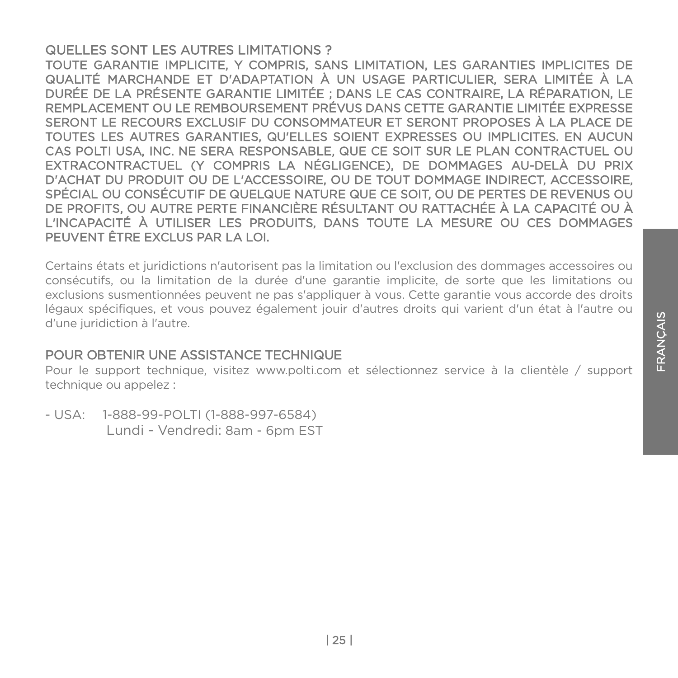#### qUELLES SONT LES AUTRES LIMITATIONS ?

TOUTE GARANTIE IMPLICITE, Y COMPRIS, SANS LIMITATION, LES GARANTIES IMPLICITES DE qUALITÉ MARCHANDE ET D'ADAPTATION À UN USAGE PARTICULIER, SERA LIMITÉE À LA DURÉE DE LA PRÉSENTE GARANTIE LIMITÉE ; DANS LE CAS CONTRAIRE, LA RÉPARATION, LE REMPLACEMENT OU LE REMBOURSEMENT PRÉVUS DANS CETTE GARANTIE LIMITÉE EXPRESSE SERONT LE RECOURS EXCLUSIF DU CONSOMMATEUR ET SERONT PROPOSES À LA PLACE DE TOUTES LES AUTRES GARANTIES, qU'ELLES SOIENT EXPRESSES OU IMPLICITES. EN AUCUN CAS POLTI USA, INC. NE SERA RESPONSABLE, qUE CE SOIT SUR LE PLAN CONTRACTUEL OU EXTRACONTRACTUEL (Y COMPRIS LA NÉGLIGENCE), DE DOMMAGES AU-DELÀ DU PRIX D'ACHAT DU PRODUIT OU DE L'ACCESSOIRE, OU DE TOUT DOMMAGE INDIRECT, ACCESSOIRE, SPÉCIAL OU CONSÉCUTIF DE qUELqUE NATURE qUE CE SOIT, OU DE PERTES DE REVENUS OU DE PROFITS, OU AUTRE PERTE FINANCIÈRE RÉSULTANT OU RATTACHÉE À LA CAPACITÉ OU À L'INCAPACITÉ À UTILISER LES PRODUITS, DANS TOUTE LA MESURE OU CES DOMMAGES PEUVENT êTRE EXCLUS PAR LA LOI.

Certains états et juridictions n'autorisent pas la limitation ou l'exclusion des dommages accessoires ou consécutifs, ou la limitation de la durée d'une garantie implicite, de sorte que les limitations ou exclusions susmentionnées peuvent ne pas s'appliquer à vous. Cette garantie vous accorde des droits légaux spécifiques, et vous pouvez également jouir d'autres droits qui varient d'un état à l'autre ou d'une juridiction à l'autre.

#### POUR OBTENIR UNE ASSISTANCE TECHNIqUE

Pour le support technique, visitez www.polti.com et sélectionnez service à la clientèle / support technique ou appelez :

- USA: 1-888-99-POLTI (1-888-997-6584) Lundi - Vendredi: 8am - 6pm EST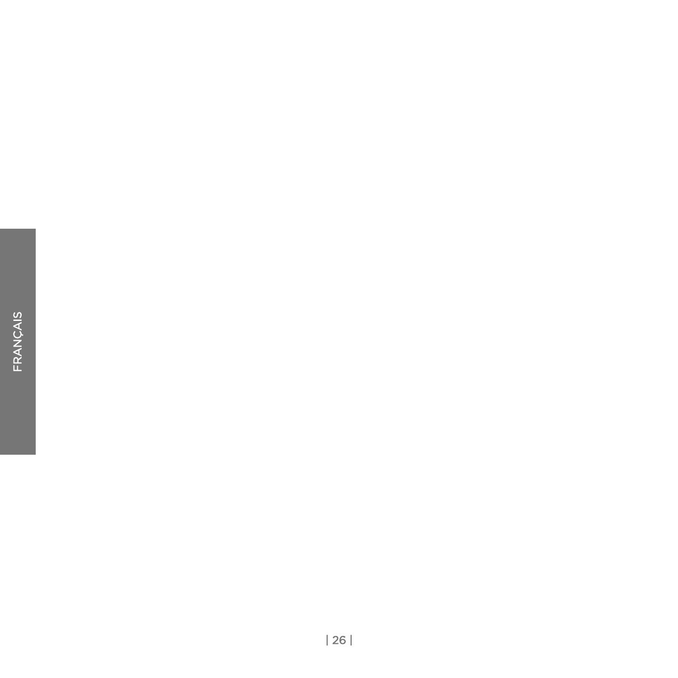**FRANÇAIS** FRANÇAIS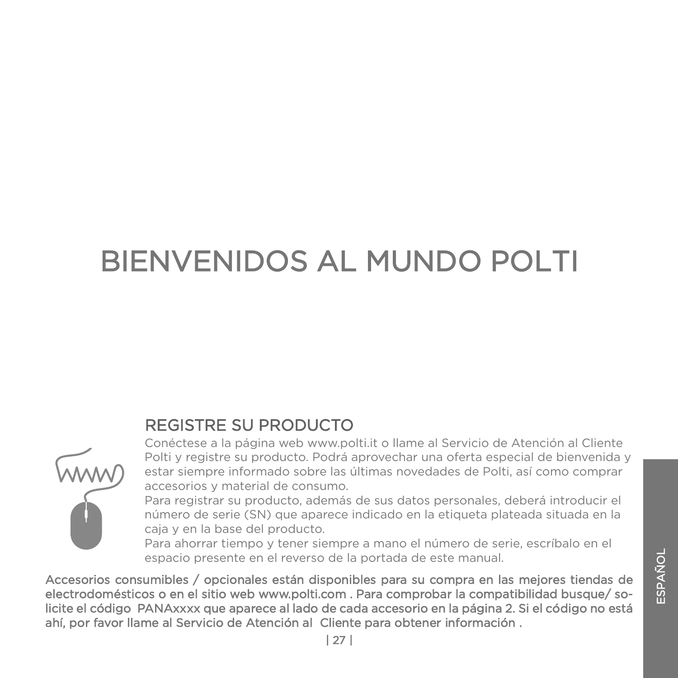# BIENVENIDOS AL MUNDO POLTI

#### REGISTRE SU PRODUCTO

![](_page_26_Picture_2.jpeg)

Conéctese a la página web www.polti.it o llame al Servicio de Atención al Cliente Polti y registre su producto. Podrá aprovechar una oferta especial de bienvenida y estar siempre informado sobre las últimas novedades de Polti, así como comprar accesorios y material de consumo.

Para registrar su producto, además de sus datos personales, deberá introducir el número de serie (SN) que aparece indicado en la etiqueta plateada situada en la caja y en la base del producto.

Para ahorrar tiempo y tener siempre a mano el número de serie, escríbalo en el espacio presente en el reverso de la portada de este manual.

Accesorios consumibles / opcionales están disponibles para su compra en las mejores tiendas de electrodomésticos o en el sitio web www.polti.com . Para comprobar la compatibilidad busque/ solicite el código PANAxxxx que aparece al lado de cada accesorio en la página 2. Si el código no está ahí, por favor llame al Servicio de Atención al Cliente para obtener información .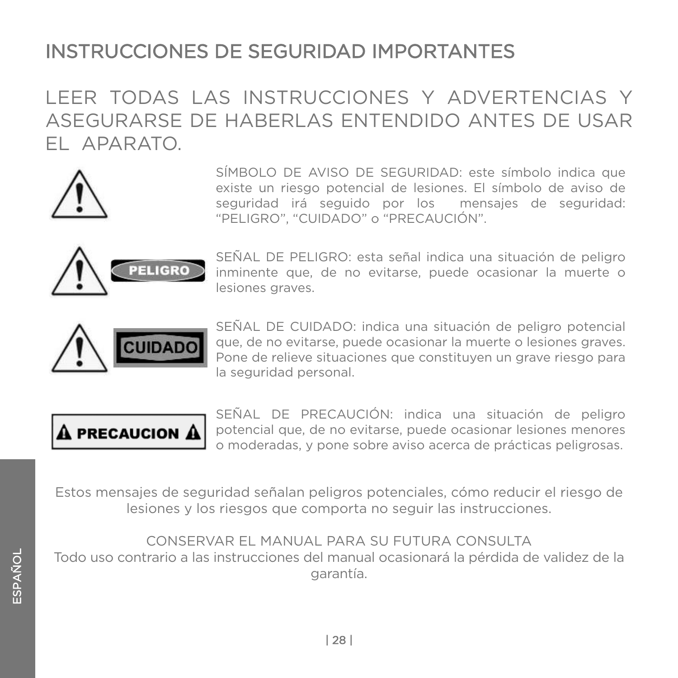# INSTRUCCIONES DE SEGURIDAD IMPORTANTES

LEER TODAS LAS INSTRUCCIONES Y ADVERTENCIAS Y ASEGURARSE DE HABERLAS ENTENDIDO ANTES DE USAR EL APARATO.

![](_page_27_Picture_2.jpeg)

SÍMBOLO DE AVISO DE SEGURIDAD: este símbolo indica que existe un riesgo potencial de lesiones. El símbolo de aviso de seguridad irá seguido por los mensajes de seguridad: "PELIGRO", "CUIDADO" o "PRECAUCIÓN".

![](_page_27_Picture_4.jpeg)

SEÑAL DE PELIGRO: esta señal indica una situación de peligro inminente que, de no evitarse, puede ocasionar la muerte o lesiones graves.

![](_page_27_Picture_6.jpeg)

SEÑAL DE CUIDADO: indica una situación de peligro potencial que, de no evitarse, puede ocasionar la muerte o lesiones graves. Pone de relieve situaciones que constituyen un grave riesgo para la seguridad personal.

![](_page_27_Picture_8.jpeg)

SEÑAL DE PRECAUCIÓN: indica una situación de peligro potencial que, de no evitarse, puede ocasionar lesiones menores o moderadas, y pone sobre aviso acerca de prácticas peligrosas.

Estos mensajes de seguridad señalan peligros potenciales, cómo reducir el riesgo de lesiones y los riesgos que comporta no seguir las instrucciones.

CONSERVAR EL MANUAL PARA SU FUTURA CONSULTA Todo uso contrario a las instrucciones del manual ocasionará la pérdida de validez de la garantía.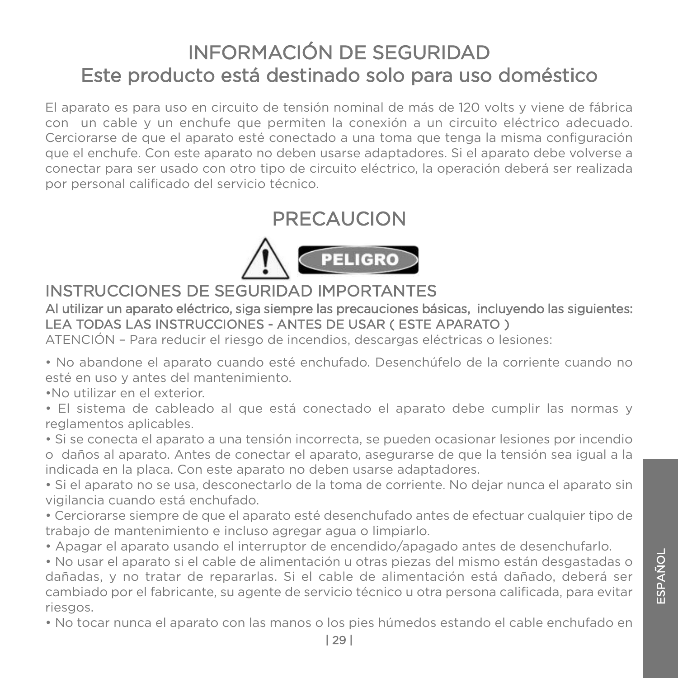# INFORMACIÓN DE SEGURIDAD Este producto está destinado solo para uso doméstico

El aparato es para uso en circuito de tensión nominal de más de 120 volts y viene de fábrica con un cable y un enchufe que permiten la conexión a un circuito eléctrico adecuado. Cerciorarse de que el aparato esté conectado a una toma que tenga la misma configuración que el enchufe. Con este aparato no deben usarse adaptadores. Si el aparato debe volverse a conectar para ser usado con otro tipo de circuito eléctrico, la operación deberá ser realizada por personal calificado del servicio técnico.

![](_page_28_Picture_2.jpeg)

![](_page_28_Picture_3.jpeg)

## INSTRUCCIONES DE SEGURIDAD IMPORTANTES

#### Al utilizar un aparato eléctrico, siga siempre las precauciones básicas, incluyendo las siguientes: LEA TODAS LAS INSTRUCCIONES - ANTES DE USAR ( ESTE APARATO )

ATENCIÓN – Para reducir el riesgo de incendios, descargas eléctricas o lesiones:

• No abandone el aparato cuando esté enchufado. Desenchúfelo de la corriente cuando no esté en uso y antes del mantenimiento.

•No utilizar en el exterior.

- El sistema de cableado al que está conectado el aparato debe cumplir las normas y reglamentos aplicables.
- Si se conecta el aparato a una tensión incorrecta, se pueden ocasionar lesiones por incendio o daños al aparato. Antes de conectar el aparato, asegurarse de que la tensión sea igual a la indicada en la placa. Con este aparato no deben usarse adaptadores.
- Si el aparato no se usa, desconectarlo de la toma de corriente. No dejar nunca el aparato sin vigilancia cuando está enchufado.
- Cerciorarse siempre de que el aparato esté desenchufado antes de efectuar cualquier tipo de trabajo de mantenimiento e incluso agregar agua o limpiarlo.
- Apagar el aparato usando el interruptor de encendido/apagado antes de desenchufarlo.
- No usar el aparato si el cable de alimentación u otras piezas del mismo están desgastadas o dañadas, y no tratar de repararlas. Si el cable de alimentación está dañado, deberá ser cambiado por el fabricante, su agente de servicio técnico u otra persona calificada, para evitar riesgos.
- No tocar nunca el aparato con las manos o los pies húmedos estando el cable enchufado en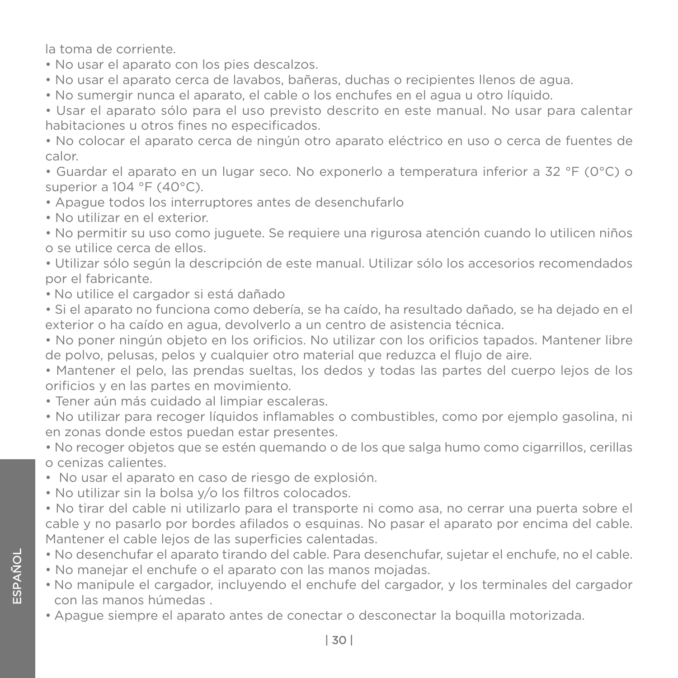la toma de corriente.

- No usar el aparato con los pies descalzos.
- No usar el aparato cerca de lavabos, bañeras, duchas o recipientes llenos de agua.
- No sumergir nunca el aparato, el cable o los enchufes en el agua u otro líquido.

• Usar el aparato sólo para el uso previsto descrito en este manual. No usar para calentar habitaciones u otros fines no especificados.

• No colocar el aparato cerca de ningún otro aparato eléctrico en uso o cerca de fuentes de calor.

• Guardar el aparato en un lugar seco. No exponerlo a temperatura inferior a 32 °F (0°C) o superior a 104 °F (40°C).

- Apague todos los interruptores antes de desenchufarlo
- No utilizar en el exterior.

• No permitir su uso como juguete. Se requiere una rigurosa atención cuando lo utilicen niños o se utilice cerca de ellos.

• Utilizar sólo según la descripción de este manual. Utilizar sólo los accesorios recomendados por el fabricante.

• No utilice el cargador si está dañado

• Si el aparato no funciona como debería, se ha caído, ha resultado dañado, se ha dejado en el exterior o ha caído en agua, devolverlo a un centro de asistencia técnica.

• No poner ningún objeto en los orificios. No utilizar con los orificios tapados. Mantener libre de polvo, pelusas, pelos y cualquier otro material que reduzca el flujo de aire.

• Mantener el pelo, las prendas sueltas, los dedos y todas las partes del cuerpo lejos de los orificios y en las partes en movimiento.

- Tener aún más cuidado al limpiar escaleras.
- No utilizar para recoger líquidos inflamables o combustibles, como por ejemplo gasolina, ni en zonas donde estos puedan estar presentes.
- No recoger objetos que se estén quemando o de los que salga humo como cigarrillos, cerillas o cenizas calientes.
- No usar el aparato en caso de riesgo de explosión.
- No utilizar sin la bolsa y/o los filtros colocados.

• No tirar del cable ni utilizarlo para el transporte ni como asa, no cerrar una puerta sobre el cable y no pasarlo por bordes afilados o esquinas. No pasar el aparato por encima del cable. Mantener el cable lejos de las superficies calentadas.

- No desenchufar el aparato tirando del cable. Para desenchufar, sujetar el enchufe, no el cable.
- No manejar el enchufe o el aparato con las manos mojadas.
- No manipule el cargador, incluyendo el enchufe del cargador, y los terminales del cargador con las manos húmedas .
- Apague siempre el aparato antes de conectar o desconectar la boquilla motorizada.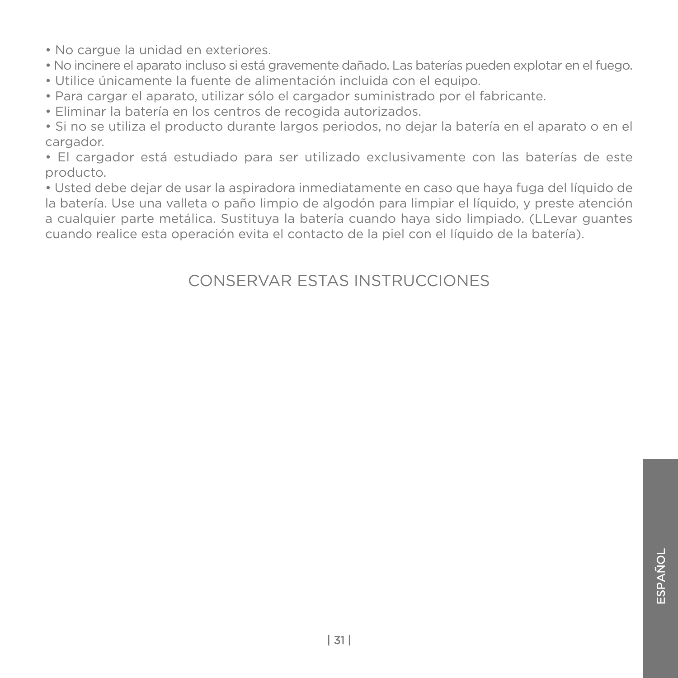- No cargue la unidad en exteriores.
- No incinere el aparato incluso si está gravemente dañado. Las baterías pueden explotar en el fuego.
- Utilice únicamente la fuente de alimentación incluida con el equipo.
- Para cargar el aparato, utilizar sólo el cargador suministrado por el fabricante.
- Eliminar la batería en los centros de recogida autorizados.

• Si no se utiliza el producto durante largos periodos, no dejar la batería en el aparato o en el cargador.

• El cargador está estudiado para ser utilizado exclusivamente con las baterías de este producto.

• Usted debe dejar de usar la aspiradora inmediatamente en caso que haya fuga del líquido de la batería. Use una valleta o paño limpio de algodón para limpiar el líquido, y preste atención a cualquier parte metálica. Sustituya la batería cuando haya sido limpiado. (LLevar guantes cuando realice esta operación evita el contacto de la piel con el líquido de la batería).

#### CONSERVAR ESTAS INSTRUCCIONES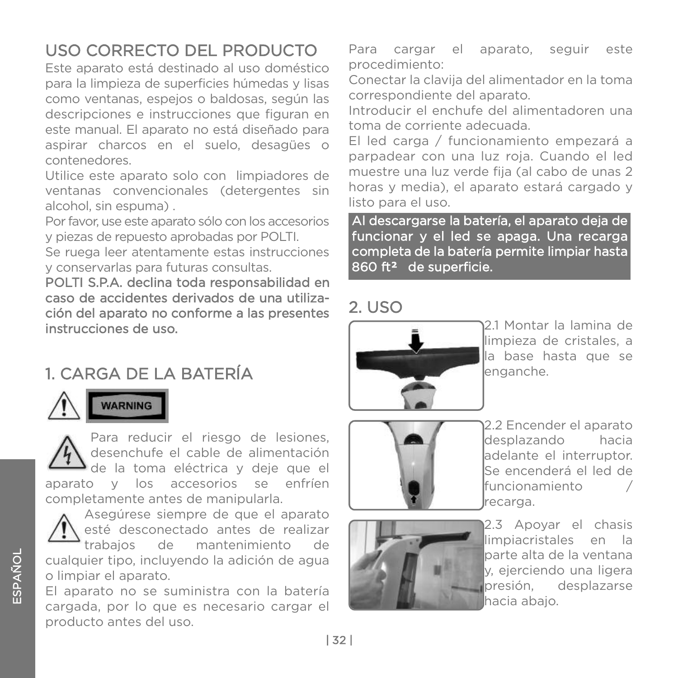## USO CORRECTO DEL PRODUCTO

Este aparato está destinado al uso doméstico para la limpieza de superficies húmedas y lisas como ventanas, espejos o baldosas, según las descripciones e instrucciones que figuran en este manual. El aparato no está diseñado para aspirar charcos en el suelo, desagües o contenedores.

Utilice este aparato solo con limpiadores de ventanas convencionales (detergentes sin alcohol, sin espuma) .

Por favor, use este aparato sólo con los accesorios y piezas de repuesto aprobadas por POLTI.

Se ruega leer atentamente estas instrucciones y conservarlas para futuras consultas.

POLTI S.P.A. declina toda responsabilidad en caso de accidentes derivados de una utilización del aparato no conforme a las presentes instrucciones de uso.

## 1. CARGA DE LA BATERÍA

![](_page_31_Picture_7.jpeg)

Para reducir el riesgo de lesiones, desenchufe el cable de alimentación de la toma eléctrica y deje que el aparato y los accesorios se enfríen completamente antes de manipularla.

Asegúrese siempre de que el aparato esté desconectado antes de realizar trabajos de mantenimiento de cualquier tipo, incluyendo la adición de agua o limpiar el aparato.

El aparato no se suministra con la batería cargada, por lo que es necesario cargar el producto antes del uso.

Para cargar el aparato, seguir este procedimiento:

Conectar la clavija del alimentador en la toma correspondiente del aparato.

Introducir el enchufe del alimentadoren una toma de corriente adecuada.

El led carga / funcionamiento empezará a parpadear con una luz roja. Cuando el led muestre una luz verde fija (al cabo de unas 2 horas y media), el aparato estará cargado y listo para el uso.

Al descargarse la batería, el aparato deja de funcionar y el led se apaga. Una recarga completa de la batería permite limpiar hasta 860 ft**²** de superficie.

## 2. USO

![](_page_31_Picture_17.jpeg)

2.1 Montar la lamina de limpieza de cristales, a la base hasta que se enganche.

![](_page_31_Picture_19.jpeg)

12.2 Encender el aparato desplazando hacia adelante el interruptor. Se encenderá el led de funcionamiento / recarga.

![](_page_31_Picture_21.jpeg)

2.3 Apoyar el chasis limpiacristales en la parte alta de la ventana y, ejerciendo una ligera presión, desplazarse hacia abajo.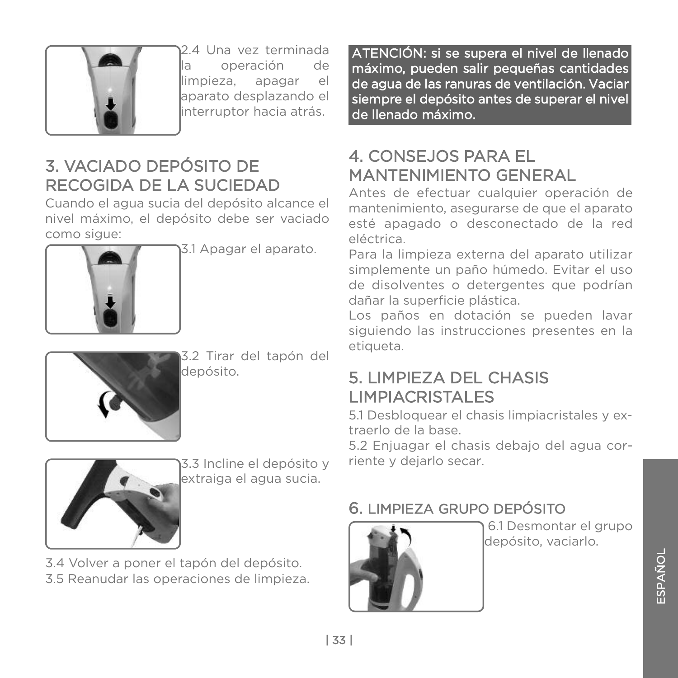![](_page_32_Picture_0.jpeg)

2.4 Una vez terminada la operación de limpieza, apagar el aparato desplazando el interruptor hacia atrás.

## 3. VACIADO DEPÓSITO DE RECOGIDA DE LA SUCIEDAD

Cuando el agua sucia del depósito alcance el nivel máximo, el depósito debe ser vaciado como sigue:

![](_page_32_Picture_4.jpeg)

3.1 Apagar el aparato.

![](_page_32_Picture_6.jpeg)

3.2 Tirar del tapón del depósito.

![](_page_32_Picture_8.jpeg)

3.3 Incline el depósito y extraiga el agua sucia.

3.4 Volver a poner el tapón del depósito. 3.5 Reanudar las operaciones de limpieza. ATENCIÓN: si se supera el nivel de llenado máximo, pueden salir pequeñas cantidades de agua de las ranuras de ventilación. Vaciar siempre el depósito antes de superar el nivel de llenado máximo.

## 4. CONSEJOS PARA EL MANTENIMIENTO GENERAL

Antes de efectuar cualquier operación de mantenimiento, asegurarse de que el aparato esté apagado o desconectado de la red eléctrica.

Para la limpieza externa del aparato utilizar simplemente un paño húmedo. Evitar el uso de disolventes o detergentes que podrían dañar la superficie plástica.

Los paños en dotación se pueden lavar siguiendo las instrucciones presentes en la etiqueta.

## 5. LIMPIEZA DEL CHASIS LIMPIACRISTALES

5.1 Desbloquear el chasis limpiacristales y extraerlo de la base.

5.2 Enjuagar el chasis debajo del agua corriente y dejarlo secar.

## 6. LIMPIEZA GRUPO DEPÓSITO

![](_page_32_Picture_20.jpeg)

6.1 Desmontar el grupo depósito, vaciarlo.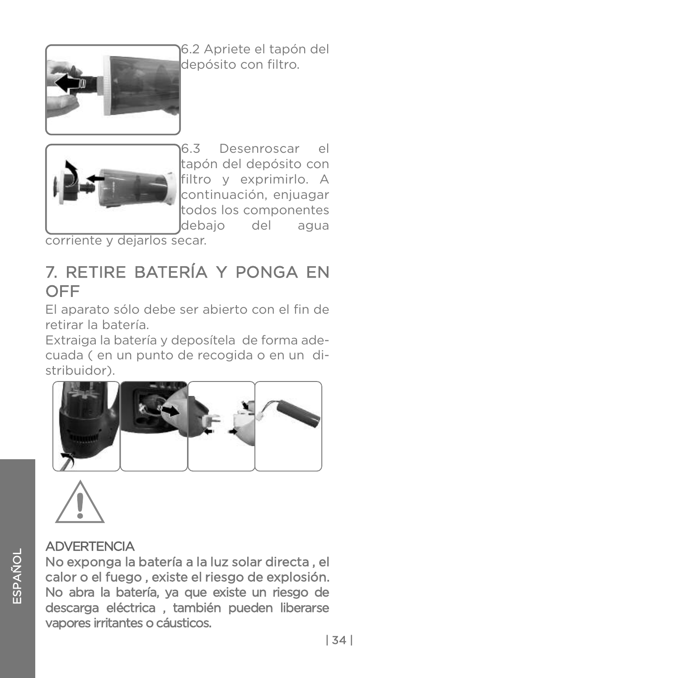![](_page_33_Picture_0.jpeg)

6.2 Apriete el tapón del depósito con filtro.

![](_page_33_Picture_2.jpeg)

6.3 Desenroscar el tapón del depósito con filtro y exprimirlo. A continuación, enjuagar todos los componentes debajo del agua

corriente y dejarlos secar.

## 7. RETIRE BATERÍA Y PONGA EN **OFF**

El aparato sólo debe ser abierto con el fin de retirar la batería.

Extraiga la batería y deposítela de forma adecuada ( en un punto de recogida o en un distribuidor).

![](_page_33_Picture_8.jpeg)

![](_page_33_Figure_9.jpeg)

#### **ADVERTENCIA**

No exponga la batería a la luz solar directa , el calor o el fuego , existe el riesgo de explosión. No abra la batería, ya que existe un riesgo de descarga eléctrica , también pueden liberarse vapores irritantes o cáusticos.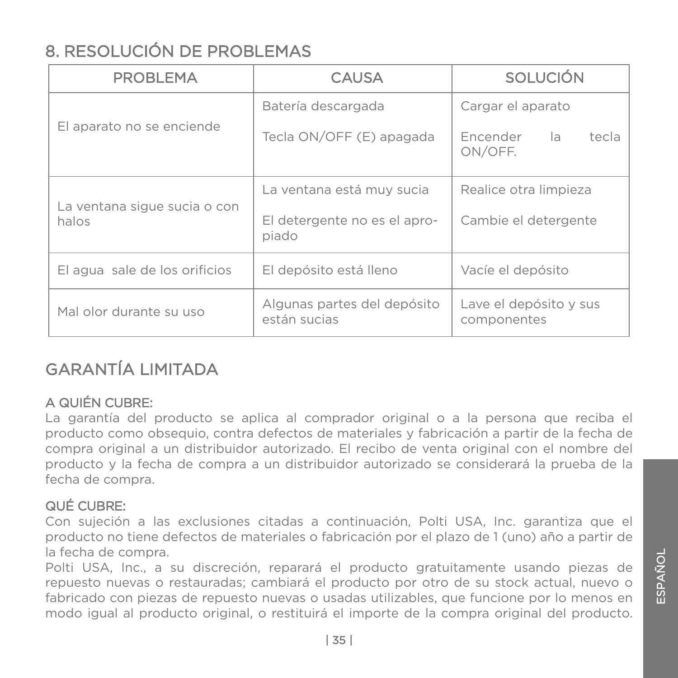# 8. RESOLUCIÓN DE PROBLEMAS

| <b>PROBLEMA</b>                       | <b>CAUSA</b>                                | <b>SOLUCIÓN</b>                       |
|---------------------------------------|---------------------------------------------|---------------------------------------|
| El aparato no se enciende             | Batería descargada                          | Cargar el aparato                     |
|                                       | Tecla ON/OFF (E) apagada                    | Encender la<br>tecla<br>ON/OFF.       |
| La ventana sigue sucia o con<br>halos | La ventana está muy sucia                   | Realice otra limpieza                 |
|                                       | El detergente no es el apro-<br>piado       | Cambie el detergente                  |
| El agua sale de los orificios         | El depósito está lleno                      | Vacíe el depósito                     |
| Mal olor durante su uso               | Algunas partes del depósito<br>están sucias | Lave el depósito y sus<br>componentes |

## GARANTÍA LIMITADA

#### A qUIÉN CUBRE:

La garantía del producto se aplica al comprador original o a la persona que reciba el producto como obsequio, contra defectos de materiales y fabricación a partir de la fecha de compra original a un distribuidor autorizado. El recibo de venta original con el nombre del producto y la fecha de compra a un distribuidor autorizado se considerará la prueba de la fecha de compra.

#### qUÉ CUBRE:

Con sujeción a las exclusiones citadas a continuación, Polti USA, Inc. garantiza que el producto no tiene defectos de materiales o fabricación por el plazo de 1 (uno) año a partir de la fecha de compra.

Polti USA, Inc., a su discreción, reparará el producto gratuitamente usando piezas de repuesto nuevas o restauradas; cambiará el producto por otro de su stock actual, nuevo o fabricado con piezas de repuesto nuevas o usadas utilizables, que funcione por lo menos en modo igual al producto original, o restituirá el importe de la compra original del producto.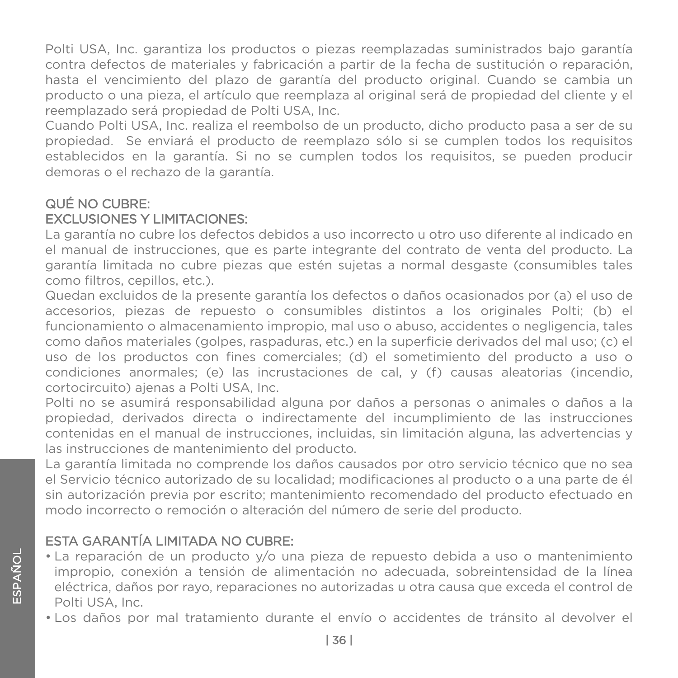Polti USA, Inc. garantiza los productos o piezas reemplazadas suministrados bajo garantía contra defectos de materiales y fabricación a partir de la fecha de sustitución o reparación, hasta el vencimiento del plazo de garantía del producto original. Cuando se cambia un producto o una pieza, el artículo que reemplaza al original será de propiedad del cliente y el reemplazado será propiedad de Polti USA, Inc.

Cuando Polti USA, Inc. realiza el reembolso de un producto, dicho producto pasa a ser de su propiedad. Se enviará el producto de reemplazo sólo si se cumplen todos los requisitos establecidos en la garantía. Si no se cumplen todos los requisitos, se pueden producir demoras o el rechazo de la garantía.

#### qUÉ NO CUBRE: EXCLUSIONES Y LIMITACIONES:

La garantía no cubre los defectos debidos a uso incorrecto u otro uso diferente al indicado en el manual de instrucciones, que es parte integrante del contrato de venta del producto. La garantía limitada no cubre piezas que estén sujetas a normal desgaste (consumibles tales como filtros, cepillos, etc.).

quedan excluidos de la presente garantía los defectos o daños ocasionados por (a) el uso de accesorios, piezas de repuesto o consumibles distintos a los originales Polti; (b) el funcionamiento o almacenamiento impropio, mal uso o abuso, accidentes o negligencia, tales como daños materiales (golpes, raspaduras, etc.) en la superficie derivados del mal uso; (c) el uso de los productos con fines comerciales; (d) el sometimiento del producto a uso o condiciones anormales; (e) las incrustaciones de cal, y (f) causas aleatorias (incendio, cortocircuito) ajenas a Polti USA, Inc.

Polti no se asumirá responsabilidad alguna por daños a personas o animales o daños a la propiedad, derivados directa o indirectamente del incumplimiento de las instrucciones contenidas en el manual de instrucciones, incluidas, sin limitación alguna, las advertencias y las instrucciones de mantenimiento del producto.

La garantía limitada no comprende los daños causados por otro servicio técnico que no sea el Servicio técnico autorizado de su localidad; modificaciones al producto o a una parte de él sin autorización previa por escrito; mantenimiento recomendado del producto efectuado en modo incorrecto o remoción o alteración del número de serie del producto.

#### ESTA GARANTÍA LIMITADA NO CUBRE:

- La reparación de un producto y/o una pieza de repuesto debida a uso o mantenimiento impropio, conexión a tensión de alimentación no adecuada, sobreintensidad de la línea eléctrica, daños por rayo, reparaciones no autorizadas u otra causa que exceda el control de Polti USA, Inc.
- Los daños por mal tratamiento durante el envío o accidentes de tránsito al devolver el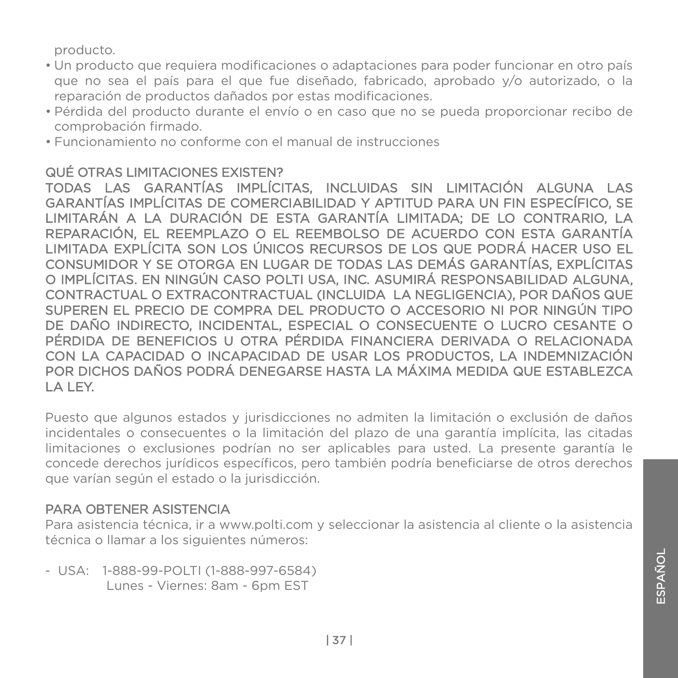producto.

- Un producto que requiera modificaciones o adaptaciones para poder funcionar en otro país que no sea el país para el que fue diseñado, fabricado, aprobado y/o autorizado, o la reparación de productos dañados por estas modificaciones.
- Pérdida del producto durante el envío o en caso que no se pueda proporcionar recibo de comprobación firmado.
- Funcionamiento no conforme con el manual de instrucciones

#### qUÉ OTRAS LIMITACIONES EXISTEN?

TODAS LAS GARANTÍAS IMPLÍCITAS, INCLUIDAS SIN LIMITACIÓN ALGUNA LAS GARANTÍAS IMPLÍCITAS DE COMERCIABILIDAD Y APTITUD PARA UN FIN ESPECÍFICO, SE LIMITARáN A LA DURACIÓN DE ESTA GARANTÍA LIMITADA; DE LO CONTRARIO, LA REPARACIÓN, EL REEMPLAZO O EL REEMBOLSO DE ACUERDO CON ESTA GARANTÍA LIMITADA EXPLÍCITA SON LOS úNICOS RECURSOS DE LOS qUE PODRá HACER USO EL CONSUMIDOR Y SE OTORGA EN LUGAR DE TODAS LAS DEMáS GARANTÍAS, EXPLÍCITAS O IMPLÍCITAS. EN NINGúN CASO POLTI USA, INC. ASUMIRá RESPONSABILIDAD ALGUNA, CONTRACTUAL O EXTRACONTRACTUAL (INCLUIDA LA NEGLIGENCIA), POR DAÑOS qUE SUPEREN EL PRECIO DE COMPRA DEL PRODUCTO O ACCESORIO NI POR NINGúN TIPO DE DAÑO INDIRECTO, INCIDENTAL, ESPECIAL O CONSECUENTE O LUCRO CESANTE O PÉRDIDA DE BENEFICIOS U OTRA PÉRDIDA FINANCIERA DERIVADA O RELACIONADA CON LA CAPACIDAD O INCAPACIDAD DE USAR LOS PRODUCTOS, LA INDEMNIZACIÓN POR DICHOS DAÑOS PODRá DENEGARSE HASTA LA MáXIMA MEDIDA qUE ESTABLEZCA LA LEY.

Puesto que algunos estados y jurisdicciones no admiten la limitación o exclusión de daños incidentales o consecuentes o la limitación del plazo de una garantía implícita, las citadas limitaciones o exclusiones podrían no ser aplicables para usted. La presente garantía le concede derechos jurídicos específicos, pero también podría beneficiarse de otros derechos que varían según el estado o la jurisdicción.

#### PARA OBTENER ASISTENCIA

Para asistencia técnica, ir a www.polti.com y seleccionar la asistencia al cliente o la asistencia técnica o llamar a los siguientes números:

- USA: 1-888-99-POLTI (1-888-997-6584) Lunes - Viernes: 8am - 6pm EST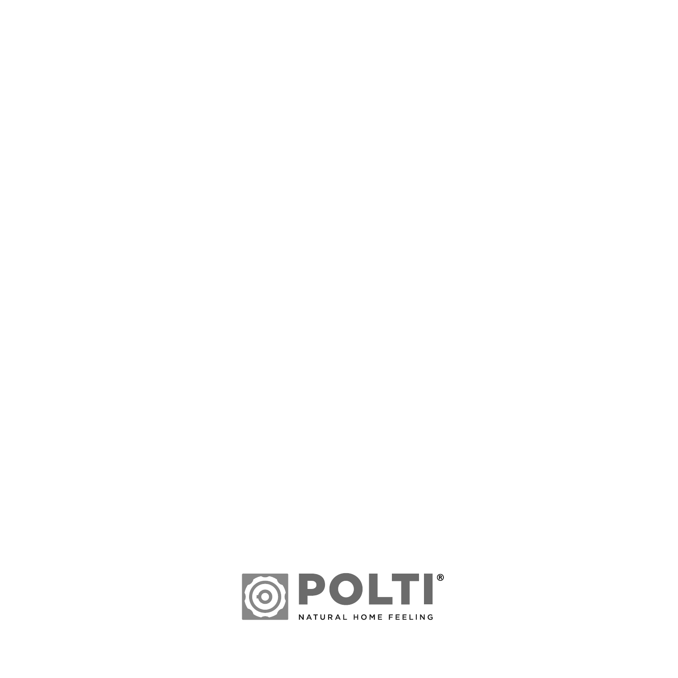![](_page_38_Picture_0.jpeg)